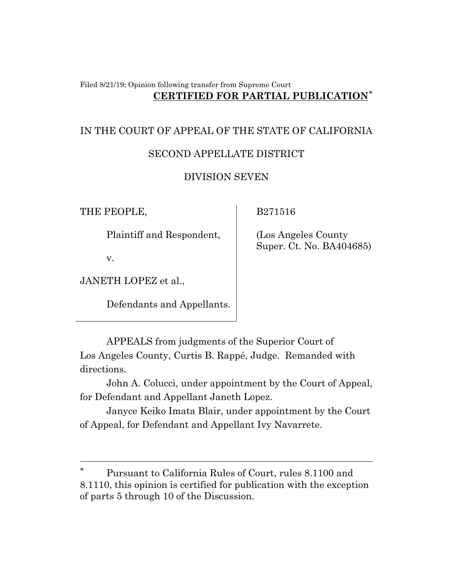### Filed 8/21/19; Opinion following transfer from Supreme Court **CERTIFIED FOR PARTIAL PUBLICATION**[\\*](#page-0-0)

# IN THE COURT OF APPEAL OF THE STATE OF CALIFORNIA SECOND APPELLATE DISTRICT

# DIVISION SEVEN

THE PEOPLE,

B271516

Plaintiff and Respondent,

v.

JANETH LOPEZ et al.,

Defendants and Appellants.

 (Los Angeles County Super. Ct. No. BA404685)

APPEALS from judgments of the Superior Court of Los Angeles County, Curtis B. Rappé, Judge. Remanded with directions.

John A. Colucci, under appointment by the Court of Appeal, for Defendant and Appellant Janeth Lopez.

Janyce Keiko Imata Blair, under appointment by the Court of Appeal, for Defendant and Appellant Ivy Navarrete.

<span id="page-0-0"></span>Pursuant to California Rules of Court, rules 8.1100 and 8.1110, this opinion is certified for publication with the exception of parts 5 through 10 of the Discussion.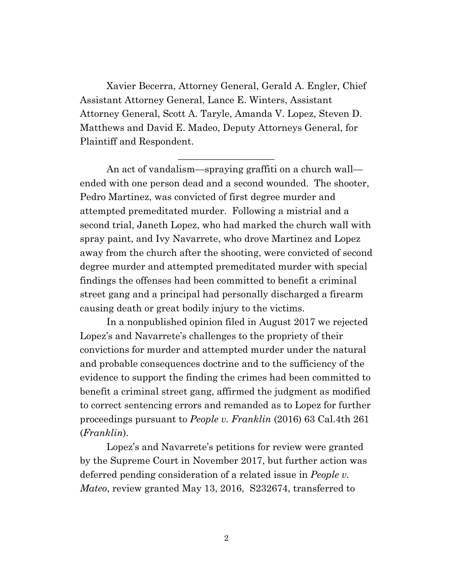Xavier Becerra, Attorney General, Gerald A. Engler, Chief Assistant Attorney General, Lance E. Winters, Assistant Attorney General, Scott A. Taryle, Amanda V. Lopez, Steven D. Matthews and David E. Madeo, Deputy Attorneys General, for Plaintiff and Respondent.

\_\_\_\_\_\_\_\_\_\_\_\_\_\_\_\_\_\_\_\_

An act of vandalism—spraying graffiti on a church wall ended with one person dead and a second wounded. The shooter, Pedro Martinez, was convicted of first degree murder and attempted premeditated murder. Following a mistrial and a second trial, Janeth Lopez, who had marked the church wall with spray paint, and Ivy Navarrete, who drove Martinez and Lopez away from the church after the shooting, were convicted of second degree murder and attempted premeditated murder with special findings the offenses had been committed to benefit a criminal street gang and a principal had personally discharged a firearm causing death or great bodily injury to the victims.

In a nonpublished opinion filed in August 2017 we rejected Lopez's and Navarrete's challenges to the propriety of their convictions for murder and attempted murder under the natural and probable consequences doctrine and to the sufficiency of the evidence to support the finding the crimes had been committed to benefit a criminal street gang, affirmed the judgment as modified to correct sentencing errors and remanded as to Lopez for further proceedings pursuant to *People v. Franklin* (2016) 63 Cal.4th 261 (*Franklin*).

Lopez's and Navarrete's petitions for review were granted by the Supreme Court in November 2017, but further action was deferred pending consideration of a related issue in *People v. Mateo*, review granted May 13, 2016, S232674, transferred to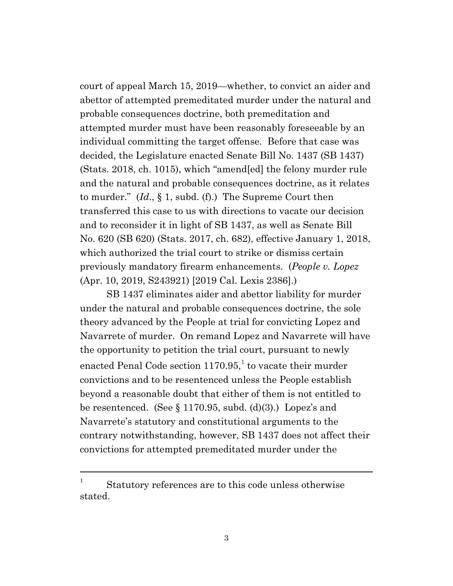court of appeal March 15, 2019—whether, to convict an aider and abettor of attempted premeditated murder under the natural and probable consequences doctrine, both premeditation and attempted murder must have been reasonably foreseeable by an individual committing the target offense. Before that case was decided, the Legislature enacted Senate Bill No. 1437 (SB 1437) (Stats. 2018, ch. 1015), which "amend[ed] the felony murder rule and the natural and probable consequences doctrine, as it relates to murder." (*Id*., § 1, subd. (f).) The Supreme Court then transferred this case to us with directions to vacate our decision and to reconsider it in light of SB 1437, as well as Senate Bill No. 620 (SB 620) (Stats. 2017, ch. 682), effective January 1, 2018, which authorized the trial court to strike or dismiss certain previously mandatory firearm enhancements. (*People v. Lopez* (Apr. 10, 2019, S243921) [2019 Cal. Lexis 2386].)

SB 1437 eliminates aider and abettor liability for murder under the natural and probable consequences doctrine, the sole theory advanced by the People at trial for convicting Lopez and Navarrete of murder. On remand Lopez and Navarrete will have the opportunity to petition the trial court, pursuant to newly enacted Penal Code section  $1170.95$  $1170.95$ ,<sup>1</sup> to vacate their murder convictions and to be resentenced unless the People establish beyond a reasonable doubt that either of them is not entitled to be resentenced. (See  $\S 1170.95$ , subd. (d)(3).) Lopez's and Navarrete's statutory and constitutional arguments to the contrary notwithstanding, however, SB 1437 does not affect their convictions for attempted premeditated murder under the

<span id="page-2-0"></span> $1$  Statutory references are to this code unless otherwise stated.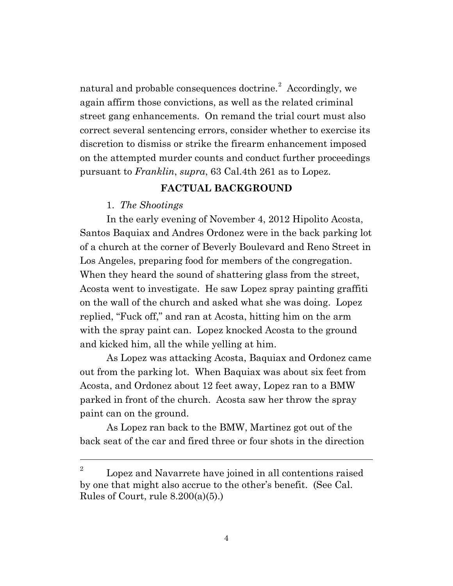natural and probable consequences doctrine.<sup>[2](#page-3-0)</sup> Accordingly, we again affirm those convictions, as well as the related criminal street gang enhancements. On remand the trial court must also correct several sentencing errors, consider whether to exercise its discretion to dismiss or strike the firearm enhancement imposed on the attempted murder counts and conduct further proceedings pursuant to *Franklin*, *supra*, 63 Cal.4th 261 as to Lopez.

## **FACTUAL BACKGROUND**

### 1. *The Shootings*

In the early evening of November 4, 2012 Hipolito Acosta, Santos Baquiax and Andres Ordonez were in the back parking lot of a church at the corner of Beverly Boulevard and Reno Street in Los Angeles, preparing food for members of the congregation. When they heard the sound of shattering glass from the street, Acosta went to investigate. He saw Lopez spray painting graffiti on the wall of the church and asked what she was doing. Lopez replied, "Fuck off," and ran at Acosta, hitting him on the arm with the spray paint can. Lopez knocked Acosta to the ground and kicked him, all the while yelling at him.

As Lopez was attacking Acosta, Baquiax and Ordonez came out from the parking lot. When Baquiax was about six feet from Acosta, and Ordonez about 12 feet away, Lopez ran to a BMW parked in front of the church. Acosta saw her throw the spray paint can on the ground.

As Lopez ran back to the BMW, Martinez got out of the back seat of the car and fired three or four shots in the direction

<span id="page-3-0"></span> $2^2$  Lopez and Navarrete have joined in all contentions raised by one that might also accrue to the other's benefit. (See Cal. Rules of Court, rule  $8.200(a)(5)$ .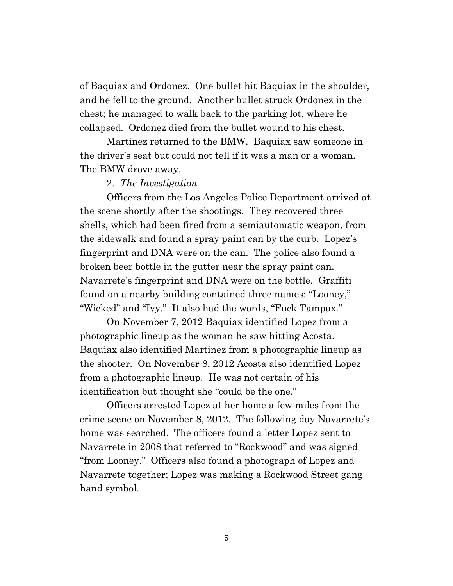of Baquiax and Ordonez. One bullet hit Baquiax in the shoulder, and he fell to the ground. Another bullet struck Ordonez in the chest; he managed to walk back to the parking lot, where he collapsed. Ordonez died from the bullet wound to his chest.

Martinez returned to the BMW. Baquiax saw someone in the driver's seat but could not tell if it was a man or a woman. The BMW drove away.

#### 2. *The Investigation*

Officers from the Los Angeles Police Department arrived at the scene shortly after the shootings. They recovered three shells, which had been fired from a semiautomatic weapon, from the sidewalk and found a spray paint can by the curb. Lopez's fingerprint and DNA were on the can. The police also found a broken beer bottle in the gutter near the spray paint can. Navarrete's fingerprint and DNA were on the bottle. Graffiti found on a nearby building contained three names: "Looney," "Wicked" and "Ivy." It also had the words, "Fuck Tampax."

On November 7, 2012 Baquiax identified Lopez from a photographic lineup as the woman he saw hitting Acosta. Baquiax also identified Martinez from a photographic lineup as the shooter. On November 8, 2012 Acosta also identified Lopez from a photographic lineup. He was not certain of his identification but thought she "could be the one."

Officers arrested Lopez at her home a few miles from the crime scene on November 8, 2012. The following day Navarrete's home was searched. The officers found a letter Lopez sent to Navarrete in 2008 that referred to "Rockwood" and was signed "from Looney." Officers also found a photograph of Lopez and Navarrete together; Lopez was making a Rockwood Street gang hand symbol.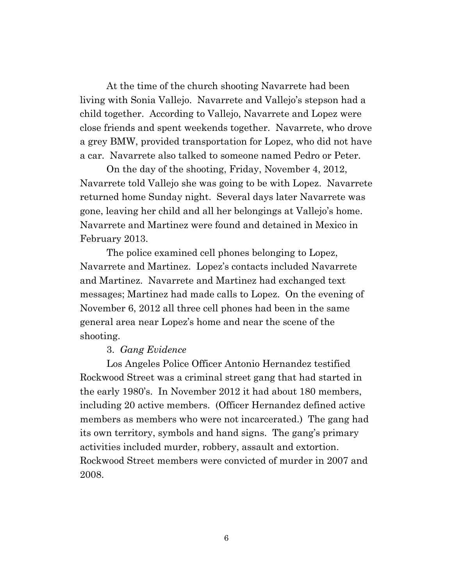At the time of the church shooting Navarrete had been living with Sonia Vallejo. Navarrete and Vallejo's stepson had a child together. According to Vallejo, Navarrete and Lopez were close friends and spent weekends together. Navarrete, who drove a grey BMW, provided transportation for Lopez, who did not have a car. Navarrete also talked to someone named Pedro or Peter.

On the day of the shooting, Friday, November 4, 2012, Navarrete told Vallejo she was going to be with Lopez. Navarrete returned home Sunday night. Several days later Navarrete was gone, leaving her child and all her belongings at Vallejo's home. Navarrete and Martinez were found and detained in Mexico in February 2013.

The police examined cell phones belonging to Lopez, Navarrete and Martinez. Lopez's contacts included Navarrete and Martinez. Navarrete and Martinez had exchanged text messages; Martinez had made calls to Lopez. On the evening of November 6, 2012 all three cell phones had been in the same general area near Lopez's home and near the scene of the shooting.

#### 3. *Gang Evidence*

Los Angeles Police Officer Antonio Hernandez testified Rockwood Street was a criminal street gang that had started in the early 1980's. In November 2012 it had about 180 members, including 20 active members. (Officer Hernandez defined active members as members who were not incarcerated.) The gang had its own territory, symbols and hand signs. The gang's primary activities included murder, robbery, assault and extortion. Rockwood Street members were convicted of murder in 2007 and 2008.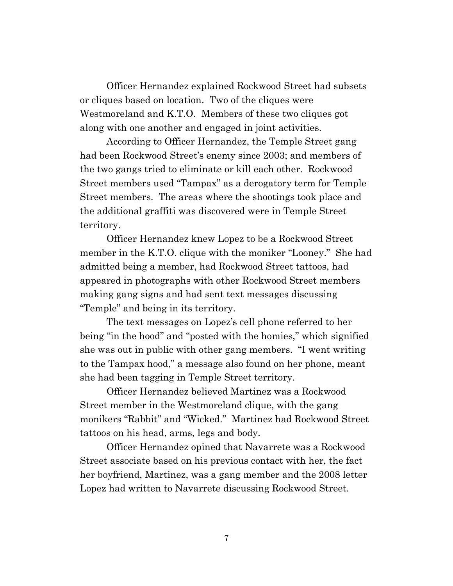Officer Hernandez explained Rockwood Street had subsets or cliques based on location. Two of the cliques were Westmoreland and K.T.O. Members of these two cliques got along with one another and engaged in joint activities.

According to Officer Hernandez, the Temple Street gang had been Rockwood Street's enemy since 2003; and members of the two gangs tried to eliminate or kill each other. Rockwood Street members used "Tampax" as a derogatory term for Temple Street members. The areas where the shootings took place and the additional graffiti was discovered were in Temple Street territory.

Officer Hernandez knew Lopez to be a Rockwood Street member in the K.T.O. clique with the moniker "Looney." She had admitted being a member, had Rockwood Street tattoos, had appeared in photographs with other Rockwood Street members making gang signs and had sent text messages discussing "Temple" and being in its territory.

The text messages on Lopez's cell phone referred to her being "in the hood" and "posted with the homies," which signified she was out in public with other gang members. "I went writing to the Tampax hood," a message also found on her phone, meant she had been tagging in Temple Street territory.

Officer Hernandez believed Martinez was a Rockwood Street member in the Westmoreland clique, with the gang monikers "Rabbit" and "Wicked." Martinez had Rockwood Street tattoos on his head, arms, legs and body.

Officer Hernandez opined that Navarrete was a Rockwood Street associate based on his previous contact with her, the fact her boyfriend, Martinez, was a gang member and the 2008 letter Lopez had written to Navarrete discussing Rockwood Street.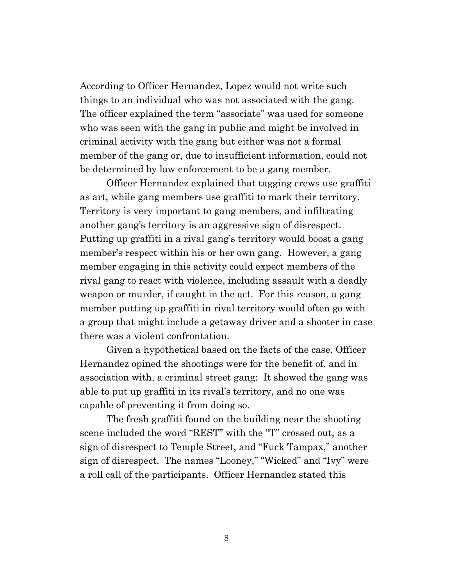According to Officer Hernandez, Lopez would not write such things to an individual who was not associated with the gang. The officer explained the term "associate" was used for someone who was seen with the gang in public and might be involved in criminal activity with the gang but either was not a formal member of the gang or, due to insufficient information, could not be determined by law enforcement to be a gang member.

Officer Hernandez explained that tagging crews use graffiti as art, while gang members use graffiti to mark their territory. Territory is very important to gang members, and infiltrating another gang's territory is an aggressive sign of disrespect. Putting up graffiti in a rival gang's territory would boost a gang member's respect within his or her own gang. However, a gang member engaging in this activity could expect members of the rival gang to react with violence, including assault with a deadly weapon or murder, if caught in the act. For this reason, a gang member putting up graffiti in rival territory would often go with a group that might include a getaway driver and a shooter in case there was a violent confrontation.

Given a hypothetical based on the facts of the case, Officer Hernandez opined the shootings were for the benefit of, and in association with, a criminal street gang: It showed the gang was able to put up graffiti in its rival's territory, and no one was capable of preventing it from doing so.

The fresh graffiti found on the building near the shooting scene included the word "REST" with the "T" crossed out, as a sign of disrespect to Temple Street, and "Fuck Tampax," another sign of disrespect. The names "Looney," "Wicked" and "Ivy" were a roll call of the participants. Officer Hernandez stated this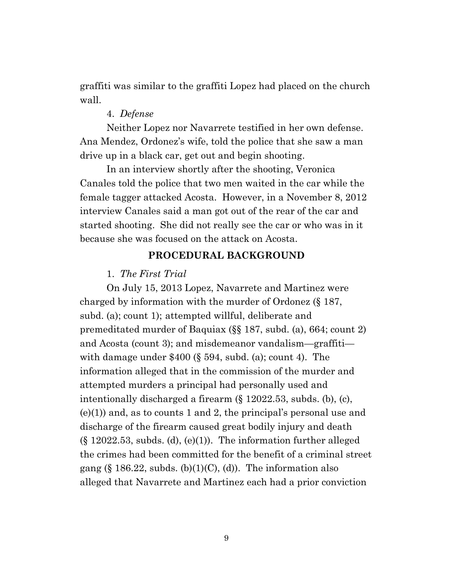graffiti was similar to the graffiti Lopez had placed on the church wall.

### 4. *Defense*

Neither Lopez nor Navarrete testified in her own defense. Ana Mendez, Ordonez's wife, told the police that she saw a man drive up in a black car, get out and begin shooting.

In an interview shortly after the shooting, Veronica Canales told the police that two men waited in the car while the female tagger attacked Acosta. However, in a November 8, 2012 interview Canales said a man got out of the rear of the car and started shooting. She did not really see the car or who was in it because she was focused on the attack on Acosta.

# **PROCEDURAL BACKGROUND**

#### 1. *The First Trial*

On July 15, 2013 Lopez, Navarrete and Martinez were charged by information with the murder of Ordonez (§ 187, subd. (a); count 1); attempted willful, deliberate and premeditated murder of Baquiax (§§ 187, subd. (a), 664; count 2) and Acosta (count 3); and misdemeanor vandalism—graffiti with damage under  $$400$  ( $§$  594, subd. (a); count 4). The information alleged that in the commission of the murder and attempted murders a principal had personally used and intentionally discharged a firearm (§ 12022.53, subds. (b), (c),  $(e)(1)$  and, as to counts 1 and 2, the principal's personal use and discharge of the firearm caused great bodily injury and death  $(\S 12022.53,$  subds. (d), (e)(1)). The information further alleged the crimes had been committed for the benefit of a criminal street gang  $(\S 186.22,$  subds. (b)(1)(C), (d)). The information also alleged that Navarrete and Martinez each had a prior conviction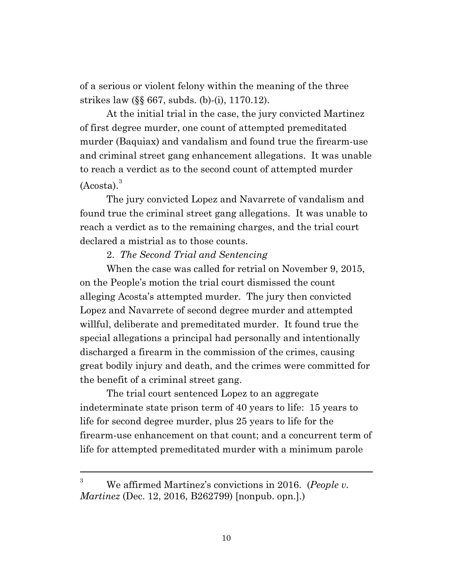of a serious or violent felony within the meaning of the three strikes law (§§ 667, subds. (b)-(i), 1170.12).

At the initial trial in the case, the jury convicted Martinez of first degree murder, one count of attempted premeditated murder (Baquiax) and vandalism and found true the firearm-use and criminal street gang enhancement allegations. It was unable to reach a verdict as to the second count of attempted murder (Acosta). [3](#page-9-0)

The jury convicted Lopez and Navarrete of vandalism and found true the criminal street gang allegations. It was unable to reach a verdict as to the remaining charges, and the trial court declared a mistrial as to those counts.

### 2. *The Second Trial and Sentencing*

When the case was called for retrial on November 9, 2015, on the People's motion the trial court dismissed the count alleging Acosta's attempted murder. The jury then convicted Lopez and Navarrete of second degree murder and attempted willful, deliberate and premeditated murder. It found true the special allegations a principal had personally and intentionally discharged a firearm in the commission of the crimes, causing great bodily injury and death, and the crimes were committed for the benefit of a criminal street gang.

The trial court sentenced Lopez to an aggregate indeterminate state prison term of 40 years to life: 15 years to life for second degree murder, plus 25 years to life for the firearm-use enhancement on that count; and a concurrent term of life for attempted premeditated murder with a minimum parole

<span id="page-9-0"></span><sup>3</sup> We affirmed Martinez's convictions in 2016. (*People v. Martinez* (Dec. 12, 2016, B262799) [nonpub. opn.].)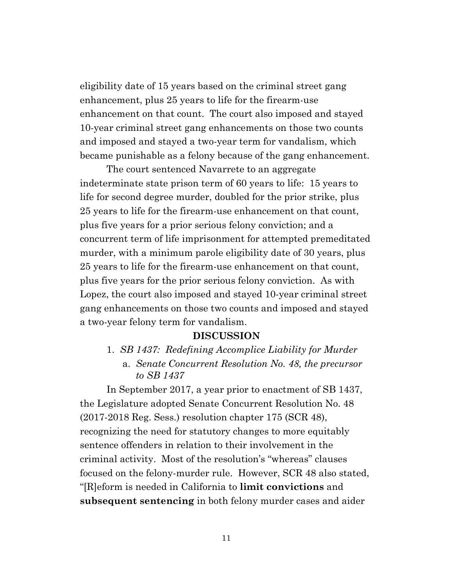eligibility date of 15 years based on the criminal street gang enhancement, plus 25 years to life for the firearm-use enhancement on that count. The court also imposed and stayed 10-year criminal street gang enhancements on those two counts and imposed and stayed a two-year term for vandalism, which became punishable as a felony because of the gang enhancement.

The court sentenced Navarrete to an aggregate indeterminate state prison term of 60 years to life: 15 years to life for second degree murder, doubled for the prior strike, plus 25 years to life for the firearm-use enhancement on that count, plus five years for a prior serious felony conviction; and a concurrent term of life imprisonment for attempted premeditated murder, with a minimum parole eligibility date of 30 years, plus 25 years to life for the firearm-use enhancement on that count, plus five years for the prior serious felony conviction. As with Lopez, the court also imposed and stayed 10-year criminal street gang enhancements on those two counts and imposed and stayed a two-year felony term for vandalism.

### **DISCUSSION**

1. *SB 1437: Redefining Accomplice Liability for Murder*  a. *Senate Concurrent Resolution No. 48, the precursor to SB 1437*

In September 2017, a year prior to enactment of SB 1437, the Legislature adopted Senate Concurrent Resolution No. 48 (2017-2018 Reg. Sess.) resolution chapter 175 (SCR 48), recognizing the need for statutory changes to more equitably sentence offenders in relation to their involvement in the criminal activity. Most of the resolution's "whereas" clauses focused on the felony-murder rule. However, SCR 48 also stated, "[R]eform is needed in California to **limit convictions** and **subsequent sentencing** in both felony murder cases and aider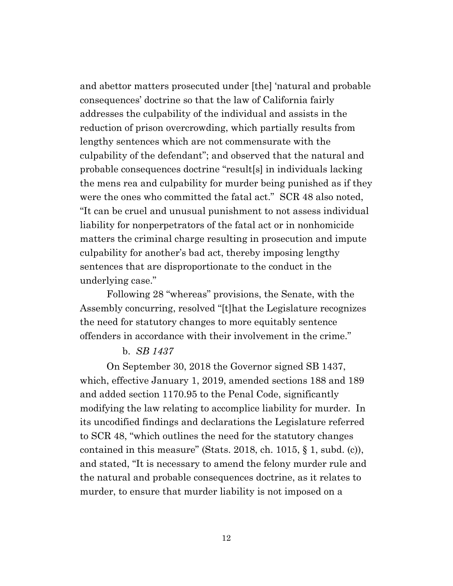and abettor matters prosecuted under [the] 'natural and probable consequences' doctrine so that the law of California fairly addresses the culpability of the individual and assists in the reduction of prison overcrowding, which partially results from lengthy sentences which are not commensurate with the culpability of the defendant"; and observed that the natural and probable consequences doctrine "result[s] in individuals lacking the mens rea and culpability for murder being punished as if they were the ones who committed the fatal act." SCR 48 also noted, "It can be cruel and unusual punishment to not assess individual liability for nonperpetrators of the fatal act or in nonhomicide matters the criminal charge resulting in prosecution and impute culpability for another's bad act, thereby imposing lengthy sentences that are disproportionate to the conduct in the underlying case."

Following 28 "whereas" provisions, the Senate, with the Assembly concurring, resolved "[t]hat the Legislature recognizes the need for statutory changes to more equitably sentence offenders in accordance with their involvement in the crime."

# b. *SB 1437*

On September 30, 2018 the Governor signed SB 1437, which, effective January 1, 2019, amended sections 188 and 189 and added section 1170.95 to the Penal Code, significantly modifying the law relating to accomplice liability for murder. In its uncodified findings and declarations the Legislature referred to SCR 48, "which outlines the need for the statutory changes contained in this measure" (Stats. 2018, ch. 1015,  $\S$  1, subd. (c)), and stated, "It is necessary to amend the felony murder rule and the natural and probable consequences doctrine, as it relates to murder, to ensure that murder liability is not imposed on a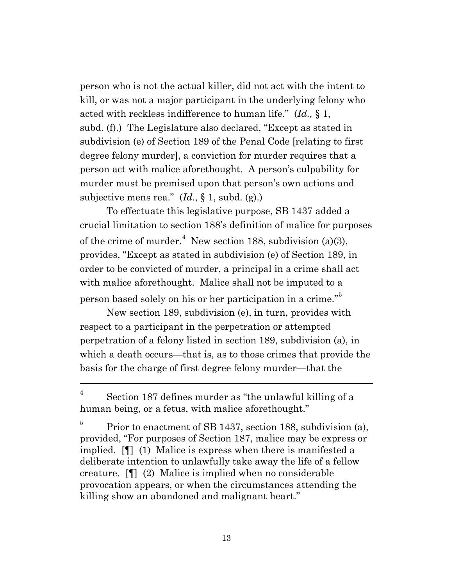person who is not the actual killer, did not act with the intent to kill, or was not a major participant in the underlying felony who acted with reckless indifference to human life." (*Id.,* § 1, subd. (f).) The Legislature also declared, "Except as stated in subdivision (e) of Section 189 of the Penal Code [relating to first degree felony murder], a conviction for murder requires that a person act with malice aforethought. A person's culpability for murder must be premised upon that person's own actions and subjective mens rea." (*Id*., § 1, subd. (g).)

To effectuate this legislative purpose, SB 1437 added a crucial limitation to section 188's definition of malice for purposes of the crime of murder.<sup>[4](#page-12-0)</sup> New section 188, subdivision (a)(3), provides, "Except as stated in subdivision (e) of Section 189, in order to be convicted of murder, a principal in a crime shall act with malice aforethought. Malice shall not be imputed to a person based solely on his or her participation in a crime."[5](#page-12-1)

New section 189, subdivision (e), in turn, provides with respect to a participant in the perpetration or attempted perpetration of a felony listed in section 189, subdivision (a), in which a death occurs—that is, as to those crimes that provide the basis for the charge of first degree felony murder—that the

<span id="page-12-0"></span> $\frac{4}{10}$  Section 187 defines murder as "the unlawful killing of a human being, or a fetus, with malice aforethought."

<span id="page-12-1"></span> $5$  Prior to enactment of SB 1437, section 188, subdivision (a), provided, "For purposes of Section 187, malice may be express or implied. [¶] (1) Malice is express when there is manifested a deliberate intention to unlawfully take away the life of a fellow creature. [¶] (2) Malice is implied when no considerable provocation appears, or when the circumstances attending the killing show an abandoned and malignant heart."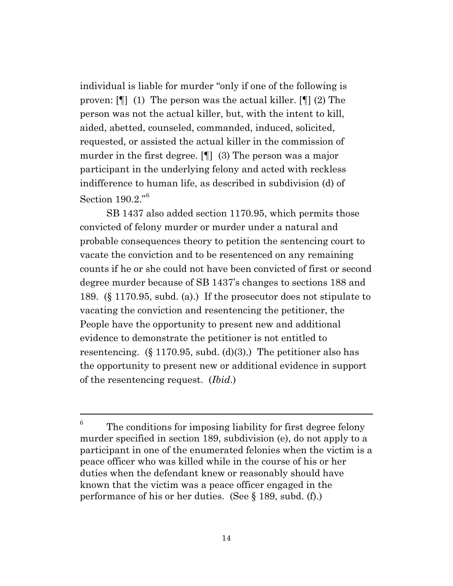individual is liable for murder "only if one of the following is proven: [¶] (1) The person was the actual killer. [¶] (2) The person was not the actual killer, but, with the intent to kill, aided, abetted, counseled, commanded, induced, solicited, requested, or assisted the actual killer in the commission of murder in the first degree. [¶] (3) The person was a major participant in the underlying felony and acted with reckless indifference to human life, as described in subdivision (d) of Section 190.2."[6](#page-13-0)

SB 1437 also added section 1170.95, which permits those convicted of felony murder or murder under a natural and probable consequences theory to petition the sentencing court to vacate the conviction and to be resentenced on any remaining counts if he or she could not have been convicted of first or second degree murder because of SB 1437's changes to sections 188 and 189. (§ 1170.95, subd. (a).) If the prosecutor does not stipulate to vacating the conviction and resentencing the petitioner, the People have the opportunity to present new and additional evidence to demonstrate the petitioner is not entitled to resentencing.  $(\S 1170.95, \text{subd. (d)}(3))$ . The petitioner also has the opportunity to present new or additional evidence in support of the resentencing request. (*Ibid*.)

<span id="page-13-0"></span> $6\degree$  The conditions for imposing liability for first degree felony murder specified in section 189, subdivision (e), do not apply to a participant in one of the enumerated felonies when the victim is a peace officer who was killed while in the course of his or her duties when the defendant knew or reasonably should have known that the victim was a peace officer engaged in the performance of his or her duties. (See § 189, subd. (f).)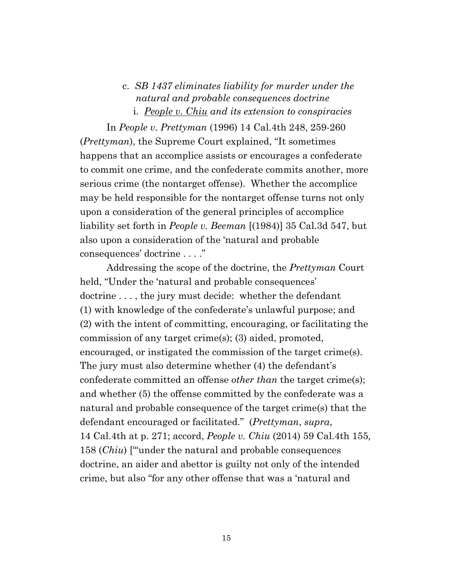# c. *SB 1437 eliminates liability for murder under the natural and probable consequences doctrine* i. *People v. Chiu and its extension to conspiracies*

In *People v. Prettyman* (1996) 14 Cal.4th 248, 259-260 (*Prettyman*), the Supreme Court explained, "It sometimes happens that an accomplice assists or encourages a confederate to commit one crime, and the confederate commits another, more serious crime (the nontarget offense). Whether the accomplice may be held responsible for the nontarget offense turns not only upon a consideration of the general principles of accomplice liability set forth in *People v. Beeman* [(1984)] 35 Cal.3d 547, but also upon a consideration of the 'natural and probable consequences' doctrine . . . ."

Addressing the scope of the doctrine, the *Prettyman* Court held, "Under the 'natural and probable consequences' doctrine ..., the jury must decide: whether the defendant (1) with knowledge of the confederate's unlawful purpose; and (2) with the intent of committing, encouraging, or facilitating the commission of any target crime(s); (3) aided, promoted, encouraged, or instigated the commission of the target crime(s). The jury must also determine whether (4) the defendant's confederate committed an offense *other than* the target crime(s); and whether (5) the offense committed by the confederate was a natural and probable consequence of the target crime(s) that the defendant encouraged or facilitated." (*Prettyman*, *supra*, 14 Cal.4th at p. 271; accord, *People v. Chiu* (2014) 59 Cal.4th 155*,*  158 (*Chiu*) ["'under the natural and probable consequences doctrine, an aider and abettor is guilty not only of the intended crime, but also "for any other offense that was a 'natural and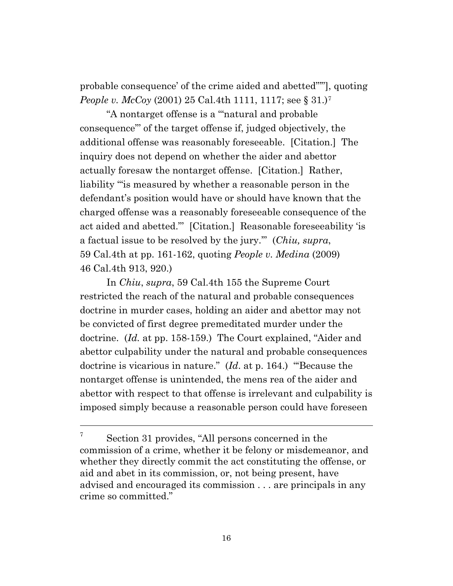probable consequence' of the crime aided and abetted"'"], quoting *People v. McCoy* (2001) 25 Cal.4th 1111, 111[7](#page-15-0); see § 31.)<sup>7</sup>

"A nontarget offense is a '"natural and probable consequence"' of the target offense if, judged objectively, the additional offense was reasonably foreseeable. [Citation.] The inquiry does not depend on whether the aider and abettor actually foresaw the nontarget offense. [Citation.] Rather, liability '"is measured by whether a reasonable person in the defendant's position would have or should have known that the charged offense was a reasonably foreseeable consequence of the act aided and abetted."' [Citation.] Reasonable foreseeability 'is a factual issue to be resolved by the jury.'" (*Chiu, supra*, 59 Cal.4th at pp. 161-162, quoting *People v. Medina* (2009) 46 Cal.4th 913, 920.)

In *Chiu*, *supra*, 59 Cal.4th 155 the Supreme Court restricted the reach of the natural and probable consequences doctrine in murder cases, holding an aider and abettor may not be convicted of first degree premeditated murder under the doctrine. (*Id.* at pp. 158-159.) The Court explained, "Aider and abettor culpability under the natural and probable consequences doctrine is vicarious in nature." (*Id*. at p. 164.) "'Because the nontarget offense is unintended, the mens rea of the aider and abettor with respect to that offense is irrelevant and culpability is imposed simply because a reasonable person could have foreseen

<span id="page-15-0"></span> $7^7$  Section 31 provides, "All persons concerned in the commission of a crime, whether it be felony or misdemeanor, and whether they directly commit the act constituting the offense, or aid and abet in its commission, or, not being present, have advised and encouraged its commission . . . are principals in any crime so committed."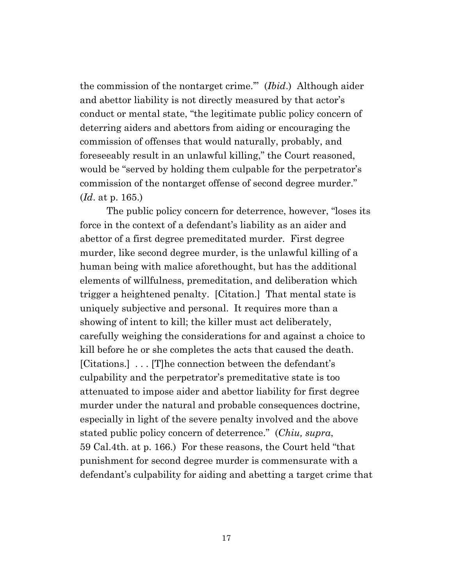the commission of the nontarget crime.'" (*Ibid*.) Although aider and abettor liability is not directly measured by that actor's conduct or mental state, "the legitimate public policy concern of deterring aiders and abettors from aiding or encouraging the commission of offenses that would naturally, probably, and foreseeably result in an unlawful killing," the Court reasoned, would be "served by holding them culpable for the perpetrator's commission of the nontarget offense of second degree murder." (*Id*. at p. 165.)

The public policy concern for deterrence, however, "loses its force in the context of a defendant's liability as an aider and abettor of a first degree premeditated murder. First degree murder, like second degree murder, is the unlawful killing of a human being with malice aforethought, but has the additional elements of willfulness, premeditation, and deliberation which trigger a heightened penalty. [Citation.] That mental state is uniquely subjective and personal. It requires more than a showing of intent to kill; the killer must act deliberately, carefully weighing the considerations for and against a choice to kill before he or she completes the acts that caused the death. [Citations.] . . . [T]he connection between the defendant's culpability and the perpetrator's premeditative state is too attenuated to impose aider and abettor liability for first degree murder under the natural and probable consequences doctrine, especially in light of the severe penalty involved and the above stated public policy concern of deterrence." (*Chiu, supra*, 59 Cal.4th. at p. 166.) For these reasons, the Court held "that punishment for second degree murder is commensurate with a defendant's culpability for aiding and abetting a target crime that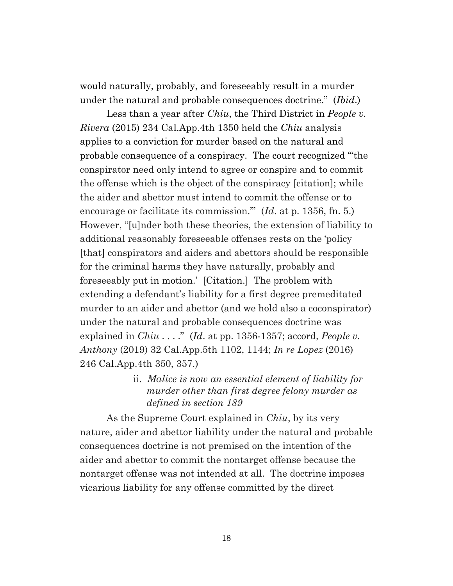would naturally, probably, and foreseeably result in a murder under the natural and probable consequences doctrine." (*Ibid*.)

Less than a year after *Chiu*, the Third District in *People v. Rivera* (2015) 234 Cal.App.4th 1350 held the *Chiu* analysis applies to a conviction for murder based on the natural and probable consequence of a conspiracy. The court recognized "'the conspirator need only intend to agree or conspire and to commit the offense which is the object of the conspiracy [citation]; while the aider and abettor must intend to commit the offense or to encourage or facilitate its commission.'" (*Id*. at p. 1356, fn. 5.) However, "[u]nder both these theories, the extension of liability to additional reasonably foreseeable offenses rests on the 'policy [that] conspirators and aiders and abettors should be responsible for the criminal harms they have naturally, probably and foreseeably put in motion.' [Citation.] The problem with extending a defendant's liability for a first degree premeditated murder to an aider and abettor (and we hold also a coconspirator) under the natural and probable consequences doctrine was explained in *Chiu* . . . ." (*Id.* at pp. 1356-1357; accord, *People v. Anthony* (2019) 32 Cal.App.5th 1102, 1144; *In re Lopez* (2016) 246 Cal.App.4th 350, 357.)

> ii. *Malice is now an essential element of liability for murder other than first degree felony murder as defined in section 189*

As the Supreme Court explained in *Chiu*, by its very nature, aider and abettor liability under the natural and probable consequences doctrine is not premised on the intention of the aider and abettor to commit the nontarget offense because the nontarget offense was not intended at all. The doctrine imposes vicarious liability for any offense committed by the direct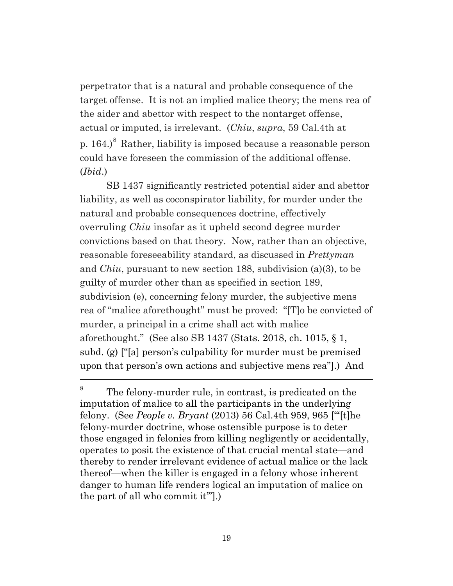perpetrator that is a natural and probable consequence of the target offense. It is not an implied malice theory; the mens rea of the aider and abettor with respect to the nontarget offense, actual or imputed, is irrelevant. (*Chiu*, *supra*, 59 Cal.4th at p.  $164.$ <sup>[8](#page-18-0)</sup> Rather, liability is imposed because a reasonable person could have foreseen the commission of the additional offense. (*Ibid*.)

SB 1437 significantly restricted potential aider and abettor liability, as well as coconspirator liability, for murder under the natural and probable consequences doctrine, effectively overruling *Chiu* insofar as it upheld second degree murder convictions based on that theory. Now, rather than an objective, reasonable foreseeability standard, as discussed in *Prettyman* and *Chiu*, pursuant to new section 188, subdivision (a)(3), to be guilty of murder other than as specified in section 189, subdivision (e), concerning felony murder, the subjective mens rea of "malice aforethought" must be proved: "[T]o be convicted of murder, a principal in a crime shall act with malice aforethought." (See also SB 1437 (Stats. 2018, ch. 1015, § 1, subd. (g) ["[a] person's culpability for murder must be premised upon that person's own actions and subjective mens rea"].) And

<span id="page-18-0"></span><sup>&</sup>lt;sup>8</sup> The felony-murder rule, in contrast, is predicated on the imputation of malice to all the participants in the underlying felony. (See *People v. Bryant* (2013) 56 Cal.4th 959, 965 ["'[t]he felony-murder doctrine, whose ostensible purpose is to deter those engaged in felonies from killing negligently or accidentally, operates to posit the existence of that crucial mental state—and thereby to render irrelevant evidence of actual malice or the lack thereof—when the killer is engaged in a felony whose inherent danger to human life renders logical an imputation of malice on the part of all who commit it'"].)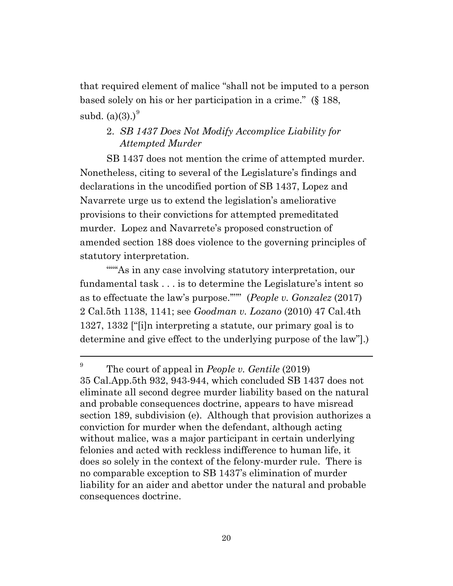that required element of malice "shall not be imputed to a person based solely on his or her participation in a crime." (§ 188, subd.  $(a)(3)$ .)<sup>[9](#page-19-0)</sup>

# 2. *SB 1437 Does Not Modify Accomplice Liability for Attempted Murder*

SB 1437 does not mention the crime of attempted murder. Nonetheless, citing to several of the Legislature's findings and declarations in the uncodified portion of SB 1437, Lopez and Navarrete urge us to extend the legislation's ameliorative provisions to their convictions for attempted premeditated murder. Lopez and Navarrete's proposed construction of amended section 188 does violence to the governing principles of statutory interpretation.

""As in any case involving statutory interpretation, our fundamental task . . . is to determine the Legislature's intent so as to effectuate the law's purpose.'"'" (*People v. Gonzalez* (2017) 2 Cal.5th 1138, 1141; see *Goodman v. Lozano* (2010) 47 Cal.4th 1327, 1332 ["[i]n interpreting a statute, our primary goal is to determine and give effect to the underlying purpose of the law"].)

<span id="page-19-0"></span><sup>&</sup>lt;sup>9</sup> The court of appeal in *People v. Gentile* (2019) 35 Cal.App.5th 932, 943-944, which concluded SB 1437 does not eliminate all second degree murder liability based on the natural and probable consequences doctrine, appears to have misread section 189, subdivision (e). Although that provision authorizes a conviction for murder when the defendant, although acting without malice, was a major participant in certain underlying felonies and acted with reckless indifference to human life, it does so solely in the context of the felony-murder rule. There is no comparable exception to SB 1437's elimination of murder liability for an aider and abettor under the natural and probable consequences doctrine.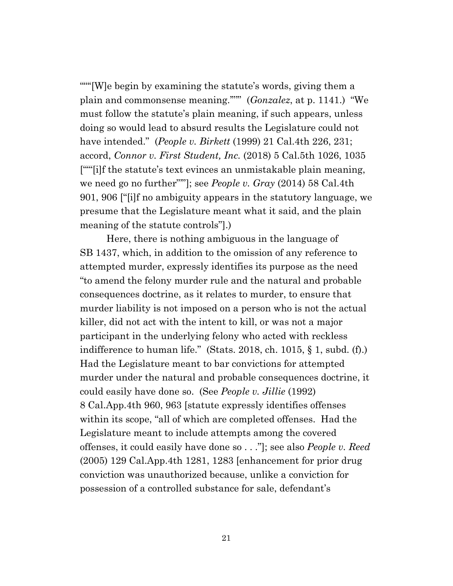""'[W]e begin by examining the statute's words, giving them a plain and commonsense meaning.'"'" (*Gonzalez*, at p. 1141.) "We must follow the statute's plain meaning, if such appears, unless doing so would lead to absurd results the Legislature could not have intended." (*People v. Birkett* (1999) 21 Cal.4th 226, 231; accord, *Connor v. First Student, Inc.* (2018) 5 Cal.5th 1026, 1035 [""[i]f the statute's text evinces an unmistakable plain meaning, we need go no further"'"]; see *People v. Gray* (2014) 58 Cal.4th 901, 906 ["[i]f no ambiguity appears in the statutory language, we presume that the Legislature meant what it said, and the plain meaning of the statute controls"].)

Here, there is nothing ambiguous in the language of SB 1437, which, in addition to the omission of any reference to attempted murder, expressly identifies its purpose as the need "to amend the felony murder rule and the natural and probable consequences doctrine, as it relates to murder, to ensure that murder liability is not imposed on a person who is not the actual killer, did not act with the intent to kill, or was not a major participant in the underlying felony who acted with reckless indifference to human life." (Stats. 2018, ch. 1015, § 1, subd. (f).) Had the Legislature meant to bar convictions for attempted murder under the natural and probable consequences doctrine, it could easily have done so. (See *People v. Jillie* (1992) 8 Cal.App.4th 960, 963 [statute expressly identifies offenses within its scope, "all of which are completed offenses. Had the Legislature meant to include attempts among the covered offenses, it could easily have done so . . ."]; see also *People v. Reed* (2005) 129 Cal.App.4th 1281, 1283 [enhancement for prior drug conviction was unauthorized because, unlike a conviction for possession of a controlled substance for sale, defendant's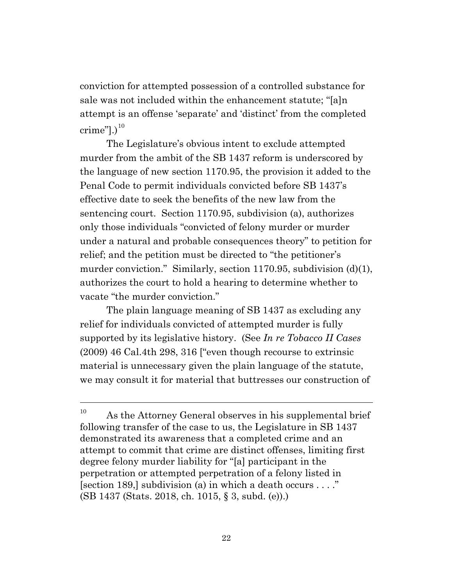conviction for attempted possession of a controlled substance for sale was not included within the enhancement statute; "[a]n attempt is an offense 'separate' and 'distinct' from the completed crime" $].$ )<sup>[10](#page-21-0)</sup>

The Legislature's obvious intent to exclude attempted murder from the ambit of the SB 1437 reform is underscored by the language of new section 1170.95, the provision it added to the Penal Code to permit individuals convicted before SB 1437's effective date to seek the benefits of the new law from the sentencing court. Section 1170.95, subdivision (a), authorizes only those individuals "convicted of felony murder or murder under a natural and probable consequences theory" to petition for relief; and the petition must be directed to "the petitioner's murder conviction." Similarly, section 1170.95, subdivision (d)(1), authorizes the court to hold a hearing to determine whether to vacate "the murder conviction."

The plain language meaning of SB 1437 as excluding any relief for individuals convicted of attempted murder is fully supported by its legislative history. (See *In re Tobacco II Cases* (2009) 46 Cal.4th 298, 316 ["even though recourse to extrinsic material is unnecessary given the plain language of the statute, we may consult it for material that buttresses our construction of

<span id="page-21-0"></span> $10$  As the Attorney General observes in his supplemental brief following transfer of the case to us, the Legislature in SB 1437 demonstrated its awareness that a completed crime and an attempt to commit that crime are distinct offenses, limiting first degree felony murder liability for "[a] participant in the perpetration or attempted perpetration of a felony listed in [section 189,] subdivision (a) in which a death occurs . . . ." (SB 1437 (Stats. 2018, ch. 1015, § 3, subd. (e)).)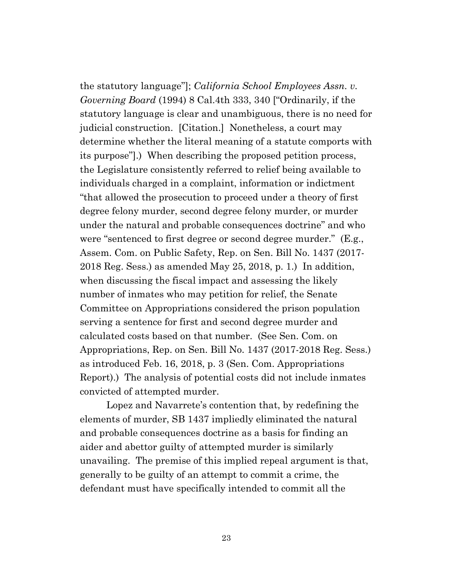the statutory language"]; *California School Employees Assn. v. Governing Board* (1994) 8 Cal.4th 333, 340 ["Ordinarily, if the statutory language is clear and unambiguous, there is no need for judicial construction. [Citation.] Nonetheless, a court may determine whether the literal meaning of a statute comports with its purpose"].) When describing the proposed petition process, the Legislature consistently referred to relief being available to individuals charged in a complaint, information or indictment "that allowed the prosecution to proceed under a theory of first degree felony murder, second degree felony murder, or murder under the natural and probable consequences doctrine" and who were "sentenced to first degree or second degree murder." (E.g., Assem. Com. on Public Safety, Rep. on Sen. Bill No. 1437 (2017- 2018 Reg. Sess.) as amended May 25, 2018, p. 1.) In addition, when discussing the fiscal impact and assessing the likely number of inmates who may petition for relief, the Senate Committee on Appropriations considered the prison population serving a sentence for first and second degree murder and calculated costs based on that number. (See Sen. Com. on Appropriations, Rep. on Sen. Bill No. 1437 (2017-2018 Reg. Sess.) as introduced Feb. 16, 2018, p. 3 (Sen. Com. Appropriations Report).) The analysis of potential costs did not include inmates convicted of attempted murder.

Lopez and Navarrete's contention that, by redefining the elements of murder, SB 1437 impliedly eliminated the natural and probable consequences doctrine as a basis for finding an aider and abettor guilty of attempted murder is similarly unavailing. The premise of this implied repeal argument is that, generally to be guilty of an attempt to commit a crime, the defendant must have specifically intended to commit all the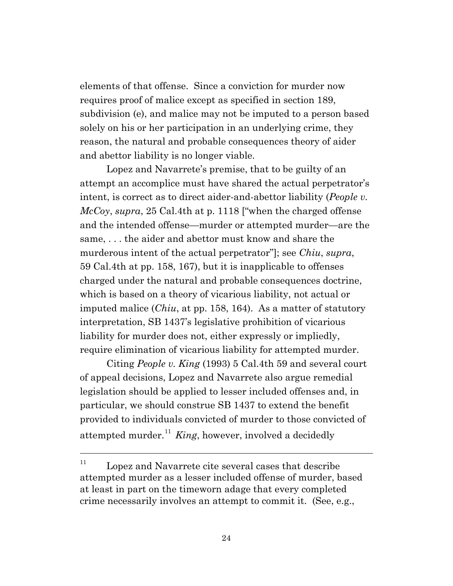elements of that offense. Since a conviction for murder now requires proof of malice except as specified in section 189, subdivision (e), and malice may not be imputed to a person based solely on his or her participation in an underlying crime, they reason, the natural and probable consequences theory of aider and abettor liability is no longer viable.

Lopez and Navarrete's premise, that to be guilty of an attempt an accomplice must have shared the actual perpetrator's intent, is correct as to direct aider-and-abettor liability (*People v. McCoy*, *supra*, 25 Cal.4th at p. 1118 ["when the charged offense and the intended offense—murder or attempted murder—are the same, . . . the aider and abettor must know and share the murderous intent of the actual perpetrator"]; see *Chiu*, *supra*, 59 Cal.4th at pp. 158, 167), but it is inapplicable to offenses charged under the natural and probable consequences doctrine, which is based on a theory of vicarious liability, not actual or imputed malice (*Chiu*, at pp. 158, 164). As a matter of statutory interpretation, SB 1437's legislative prohibition of vicarious liability for murder does not, either expressly or impliedly, require elimination of vicarious liability for attempted murder.

Citing *People v. King* (1993) 5 Cal.4th 59 and several court of appeal decisions, Lopez and Navarrete also argue remedial legislation should be applied to lesser included offenses and, in particular, we should construe SB 1437 to extend the benefit provided to individuals convicted of murder to those convicted of attempted murder.<sup>[11](#page-23-0)</sup> *King*, however, involved a decidedly

<span id="page-23-0"></span> $11$  Lopez and Navarrete cite several cases that describe attempted murder as a lesser included offense of murder, based at least in part on the timeworn adage that every completed crime necessarily involves an attempt to commit it. (See, e.g.,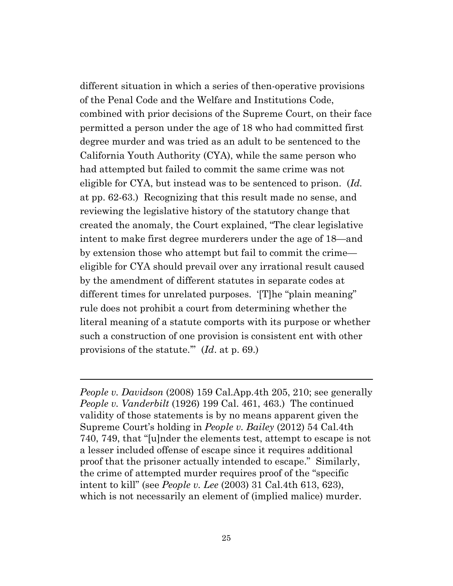different situation in which a series of then-operative provisions of the Penal Code and the Welfare and Institutions Code, combined with prior decisions of the Supreme Court, on their face permitted a person under the age of 18 who had committed first degree murder and was tried as an adult to be sentenced to the California Youth Authority (CYA), while the same person who had attempted but failed to commit the same crime was not eligible for CYA, but instead was to be sentenced to prison. (*Id.* at pp. 62-63.) Recognizing that this result made no sense, and reviewing the legislative history of the statutory change that created the anomaly, the Court explained, "The clear legislative intent to make first degree murderers under the age of 18—and by extension those who attempt but fail to commit the crime eligible for CYA should prevail over any irrational result caused by the amendment of different statutes in separate codes at different times for unrelated purposes. '[T]he "plain meaning" rule does not prohibit a court from determining whether the literal meaning of a statute comports with its purpose or whether such a construction of one provision is consistent ent with other provisions of the statute.'" (*Id*. at p. 69.)

*People v. Davidson* (2008) 159 Cal.App.4th 205, 210; see generally *People v. Vanderbilt* (1926) 199 Cal. 461, 463.) The continued validity of those statements is by no means apparent given the Supreme Court's holding in *People v. Bailey* (2012) 54 Cal.4th 740, 749, that "[u]nder the elements test, attempt to escape is not a lesser included offense of escape since it requires additional proof that the prisoner actually intended to escape." Similarly, the crime of attempted murder requires proof of the "specific intent to kill" (see *People v. Lee* (2003) 31 Cal.4th 613, 623), which is not necessarily an element of (implied malice) murder.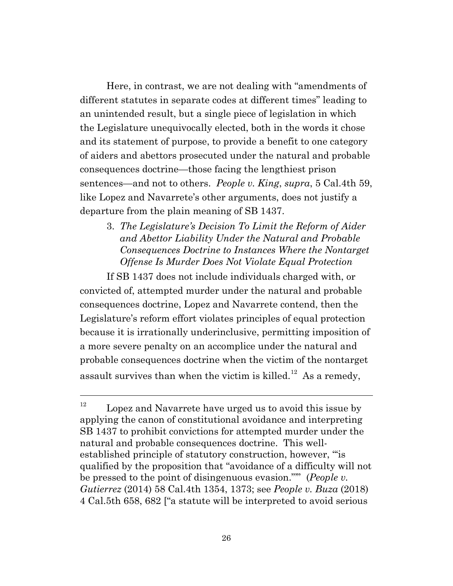Here, in contrast, we are not dealing with "amendments of different statutes in separate codes at different times" leading to an unintended result, but a single piece of legislation in which the Legislature unequivocally elected, both in the words it chose and its statement of purpose, to provide a benefit to one category of aiders and abettors prosecuted under the natural and probable consequences doctrine—those facing the lengthiest prison sentences—and not to others. *People v. King*, *supra*, 5 Cal.4th 59, like Lopez and Navarrete's other arguments, does not justify a departure from the plain meaning of SB 1437.

3. *The Legislature's Decision To Limit the Reform of Aider and Abettor Liability Under the Natural and Probable Consequences Doctrine to Instances Where the Nontarget Offense Is Murder Does Not Violate Equal Protection*

If SB 1437 does not include individuals charged with, or convicted of, attempted murder under the natural and probable consequences doctrine, Lopez and Navarrete contend, then the Legislature's reform effort violates principles of equal protection because it is irrationally underinclusive, permitting imposition of a more severe penalty on an accomplice under the natural and probable consequences doctrine when the victim of the nontarget assault survives than when the victim is killed.<sup>12</sup> As a remedy,

<span id="page-25-0"></span> $12$  Lopez and Navarrete have urged us to avoid this issue by applying the canon of constitutional avoidance and interpreting SB 1437 to prohibit convictions for attempted murder under the natural and probable consequences doctrine. This wellestablished principle of statutory construction, however, "'is qualified by the proposition that "avoidance of a difficulty will not be pressed to the point of disingenuous evasion."'" (*People v. Gutierrez* (2014) 58 Cal.4th 1354, 1373; see *People v. Buza* (2018) 4 Cal.5th 658, 682 ["a statute will be interpreted to avoid serious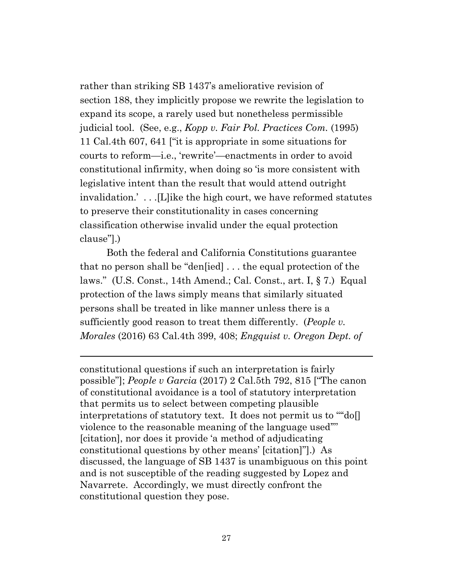rather than striking SB 1437's ameliorative revision of section 188, they implicitly propose we rewrite the legislation to expand its scope, a rarely used but nonetheless permissible judicial tool. (See, e.g., *Kopp v. Fair Pol. Practices Com.* (1995) 11 Cal.4th 607, 641 ["it is appropriate in some situations for courts to reform—i.e., 'rewrite'—enactments in order to avoid constitutional infirmity, when doing so 'is more consistent with legislative intent than the result that would attend outright invalidation.' . . .[L]ike the high court, we have reformed statutes to preserve their constitutionality in cases concerning classification otherwise invalid under the equal protection clause"].)

Both the federal and California Constitutions guarantee that no person shall be "den[ied] . . . the equal protection of the laws." (U.S. Const., 14th Amend.; Cal. Const., art. I, § 7.) Equal protection of the laws simply means that similarly situated persons shall be treated in like manner unless there is a sufficiently good reason to treat them differently. (*People v. Morales* (2016) 63 Cal.4th 399, 408; *Engquist v. Oregon Dept. of*

constitutional questions if such an interpretation is fairly possible"]; *People v Garcia* (2017) 2 Cal.5th 792, 815 ["The canon of constitutional avoidance is a tool of statutory interpretation that permits us to select between competing plausible interpretations of statutory text. It does not permit us to '"'do[] violence to the reasonable meaning of the language used'"' [citation], nor does it provide 'a method of adjudicating constitutional questions by other means' [citation]"].) As discussed, the language of SB 1437 is unambiguous on this point and is not susceptible of the reading suggested by Lopez and Navarrete. Accordingly, we must directly confront the constitutional question they pose.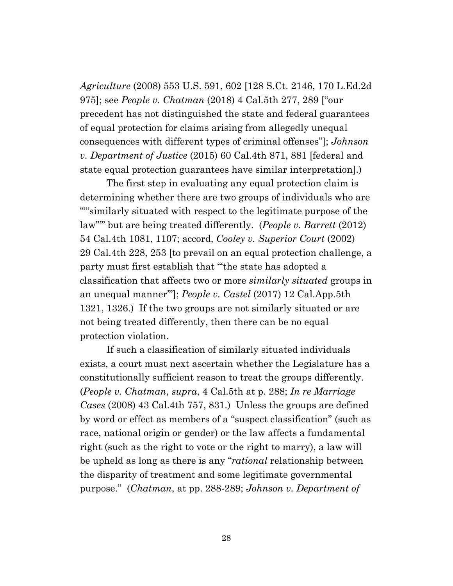*Agriculture* (2008) 553 U.S. 591, 602 [128 S.Ct. 2146, 170 L.Ed.2d 975]; see *People v. Chatman* (2018) 4 Cal.5th 277, 289 ["our precedent has not distinguished the state and federal guarantees of equal protection for claims arising from allegedly unequal consequences with different types of criminal offenses"]; *Johnson v. Department of Justice* (2015) 60 Cal.4th 871, 881 [federal and state equal protection guarantees have similar interpretation].)

The first step in evaluating any equal protection claim is determining whether there are two groups of individuals who are ""similarly situated with respect to the legitimate purpose of the law"'" but are being treated differently. (*People v. Barrett* (2012) 54 Cal.4th 1081, 1107; accord, *Cooley v. Superior Court* (2002) 29 Cal.4th 228, 253 [to prevail on an equal protection challenge, a party must first establish that "'the state has adopted a classification that affects two or more *similarly situated* groups in an unequal manner'"]; *People v. Castel* (2017) 12 Cal.App.5th 1321, 1326.) If the two groups are not similarly situated or are not being treated differently, then there can be no equal protection violation.

If such a classification of similarly situated individuals exists, a court must next ascertain whether the Legislature has a constitutionally sufficient reason to treat the groups differently. (*People v. Chatman*, *supra*, 4 Cal.5th at p. 288; *In re Marriage Cases* (2008) 43 Cal.4th 757, 831.) Unless the groups are defined by word or effect as members of a "suspect classification" (such as race, national origin or gender) or the law affects a fundamental right (such as the right to vote or the right to marry), a law will be upheld as long as there is any "*rational* relationship between the disparity of treatment and some legitimate governmental purpose." (*Chatman*, at pp. 288-289; *Johnson v. Department of*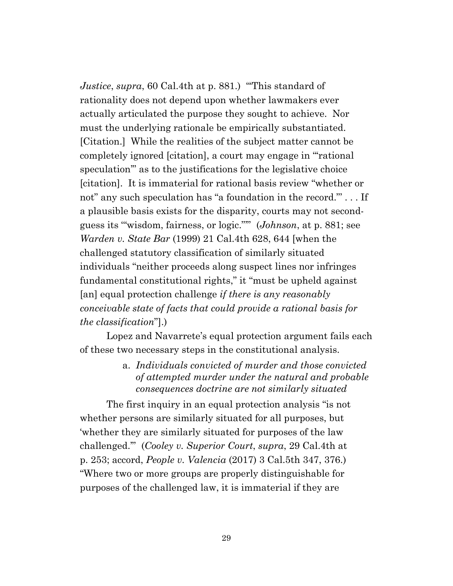*Justice*, *supra*, 60 Cal.4th at p. 881.) "'This standard of rationality does not depend upon whether lawmakers ever actually articulated the purpose they sought to achieve. Nor must the underlying rationale be empirically substantiated. [Citation.] While the realities of the subject matter cannot be completely ignored [citation], a court may engage in "'rational speculation'" as to the justifications for the legislative choice [citation]. It is immaterial for rational basis review "whether or not" any such speculation has "a foundation in the record."' . . . If a plausible basis exists for the disparity, courts may not secondguess its '"wisdom, fairness, or logic."'" (*Johnson*, at p. 881; see *Warden v. State Bar* (1999) 21 Cal.4th 628, 644 [when the challenged statutory classification of similarly situated individuals "neither proceeds along suspect lines nor infringes fundamental constitutional rights," it "must be upheld against [an] equal protection challenge *if there is any reasonably conceivable state of facts that could provide a rational basis for the classification*"].)

Lopez and Navarrete's equal protection argument fails each of these two necessary steps in the constitutional analysis.

> a. *Individuals convicted of murder and those convicted of attempted murder under the natural and probable consequences doctrine are not similarly situated*

The first inquiry in an equal protection analysis "is not whether persons are similarly situated for all purposes, but 'whether they are similarly situated for purposes of the law challenged.'" (*Cooley v. Superior Court*, *supra*, 29 Cal.4th at p. 253; accord, *People v. Valencia* (2017) 3 Cal.5th 347, 376.) "Where two or more groups are properly distinguishable for purposes of the challenged law, it is immaterial if they are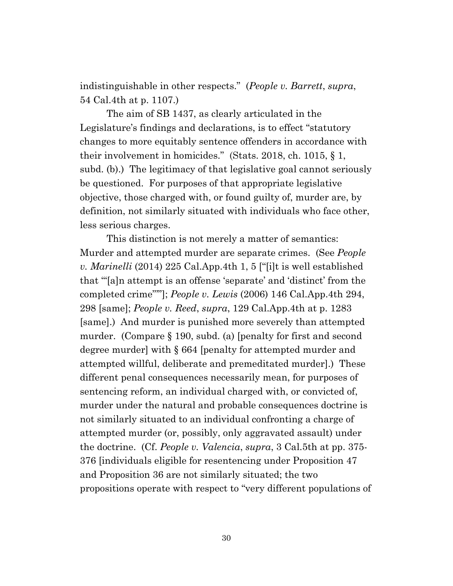indistinguishable in other respects." (*People v. Barrett*, *supra*, 54 Cal.4th at p. 1107.)

The aim of SB 1437, as clearly articulated in the Legislature's findings and declarations, is to effect "statutory changes to more equitably sentence offenders in accordance with their involvement in homicides." (Stats. 2018, ch. 1015, § 1, subd. (b).) The legitimacy of that legislative goal cannot seriously be questioned. For purposes of that appropriate legislative objective, those charged with, or found guilty of, murder are, by definition, not similarly situated with individuals who face other, less serious charges.

This distinction is not merely a matter of semantics: Murder and attempted murder are separate crimes. (See *People v. Marinelli* (2014) 225 Cal.App.4th 1, 5 ["[i]t is well established that '"[a]n attempt is an offense 'separate' and 'distinct' from the completed crime"'"]; *People v. Lewis* (2006) 146 Cal.App.4th 294, 298 [same]; *People v. Reed*, *supra*, 129 Cal.App.4th at p. 1283 [same].) And murder is punished more severely than attempted murder. (Compare § 190, subd. (a) [penalty for first and second degree murder] with § 664 [penalty for attempted murder and attempted willful, deliberate and premeditated murder].) These different penal consequences necessarily mean, for purposes of sentencing reform, an individual charged with, or convicted of, murder under the natural and probable consequences doctrine is not similarly situated to an individual confronting a charge of attempted murder (or, possibly, only aggravated assault) under the doctrine. (Cf. *People v. Valencia*, *supra*, 3 Cal.5th at pp. 375- 376 [individuals eligible for resentencing under Proposition 47 and Proposition 36 are not similarly situated; the two propositions operate with respect to "very different populations of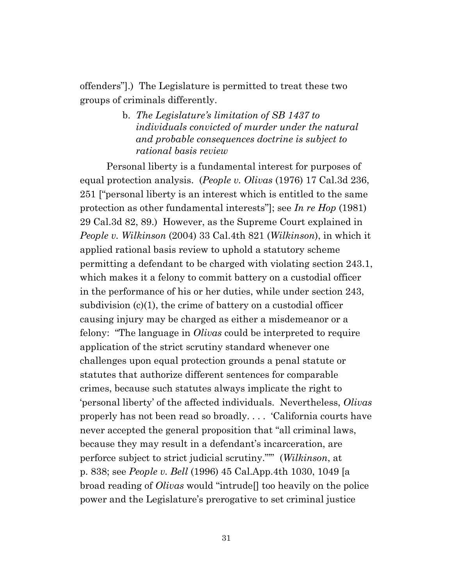offenders"].) The Legislature is permitted to treat these two groups of criminals differently.

> b. *The Legislature's limitation of SB 1437 to individuals convicted of murder under the natural and probable consequences doctrine is subject to rational basis review*

Personal liberty is a fundamental interest for purposes of equal protection analysis. (*People v. Olivas* (1976) 17 Cal.3d 236, 251 ["personal liberty is an interest which is entitled to the same protection as other fundamental interests"]; see *In re Hop* (1981) 29 Cal.3d 82, 89.) However, as the Supreme Court explained in *People v. Wilkinson* (2004) 33 Cal.4th 821 (*Wilkinson*), in which it applied rational basis review to uphold a statutory scheme permitting a defendant to be charged with violating section 243.1, which makes it a felony to commit battery on a custodial officer in the performance of his or her duties, while under section 243, subdivision (c)(1), the crime of battery on a custodial officer causing injury may be charged as either a misdemeanor or a felony: "The language in *Olivas* could be interpreted to require application of the strict scrutiny standard whenever one challenges upon equal protection grounds a penal statute or statutes that authorize different sentences for comparable crimes, because such statutes always implicate the right to 'personal liberty' of the affected individuals. Nevertheless, *Olivas* properly has not been read so broadly. . . . 'California courts have never accepted the general proposition that "all criminal laws, because they may result in a defendant's incarceration, are perforce subject to strict judicial scrutiny."'" (*Wilkinson*, at p. 838; see *People v. Bell* (1996) 45 Cal.App.4th 1030, 1049 [a broad reading of *Olivas* would "intrude[] too heavily on the police power and the Legislature's prerogative to set criminal justice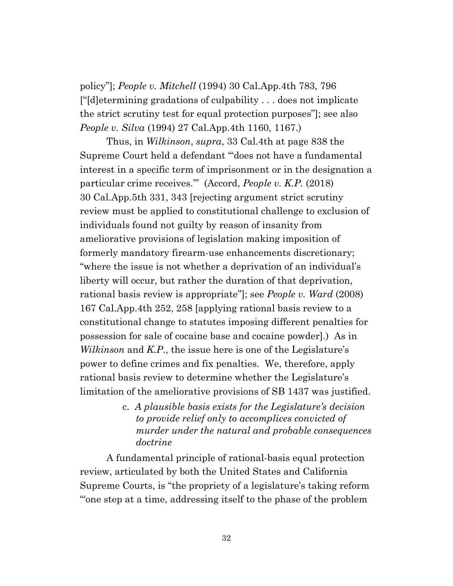policy"]; *People v. Mitchell* (1994) 30 Cal.App.4th 783, 796 ["[d]etermining gradations of culpability . . . does not implicate the strict scrutiny test for equal protection purposes"]; see also *People v. Silva* (1994) 27 Cal.App.4th 1160, 1167.)

Thus, in *Wilkinson*, *supra*, 33 Cal.4th at page 838 the Supreme Court held a defendant "'does not have a fundamental interest in a specific term of imprisonment or in the designation a particular crime receives.'" (Accord, *People v. K.P.* (2018) 30 Cal.App.5th 331, 343 [rejecting argument strict scrutiny review must be applied to constitutional challenge to exclusion of individuals found not guilty by reason of insanity from ameliorative provisions of legislation making imposition of formerly mandatory firearm-use enhancements discretionary; "where the issue is not whether a deprivation of an individual's liberty will occur, but rather the duration of that deprivation, rational basis review is appropriate"]; see *People v. Ward* (2008) 167 Cal.App.4th 252, 258 [applying rational basis review to a constitutional change to statutes imposing different penalties for possession for sale of cocaine base and cocaine powder].) As in *Wilkinson* and *K.P*., the issue here is one of the Legislature's power to define crimes and fix penalties. We, therefore, apply rational basis review to determine whether the Legislature's limitation of the ameliorative provisions of SB 1437 was justified.

> c. *A plausible basis exists for the Legislature's decision to provide relief only to accomplices convicted of murder under the natural and probable consequences doctrine*

A fundamental principle of rational-basis equal protection review, articulated by both the United States and California Supreme Courts, is "the propriety of a legislature's taking reform '"one step at a time, addressing itself to the phase of the problem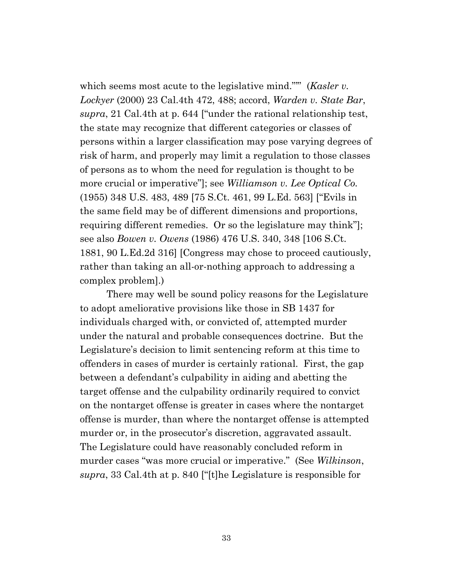which seems most acute to the legislative mind."" (*Kasler v. Lockyer* (2000) 23 Cal.4th 472, 488; accord, *Warden v. State Bar*, *supra*, 21 Cal.4th at p. 644 ["under the rational relationship test, the state may recognize that different categories or classes of persons within a larger classification may pose varying degrees of risk of harm, and properly may limit a regulation to those classes of persons as to whom the need for regulation is thought to be more crucial or imperative"]; see *Williamson v. Lee Optical Co.* (1955) 348 U.S. 483, 489 [75 S.Ct. 461, 99 L.Ed. 563] ["Evils in the same field may be of different dimensions and proportions, requiring different remedies. Or so the legislature may think"]; see also *Bowen v. Owens* (1986) 476 U.S. 340, 348 [106 S.Ct. 1881, 90 L.Ed.2d 316] [Congress may chose to proceed cautiously, rather than taking an all-or-nothing approach to addressing a complex problem].)

There may well be sound policy reasons for the Legislature to adopt ameliorative provisions like those in SB 1437 for individuals charged with, or convicted of, attempted murder under the natural and probable consequences doctrine. But the Legislature's decision to limit sentencing reform at this time to offenders in cases of murder is certainly rational. First, the gap between a defendant's culpability in aiding and abetting the target offense and the culpability ordinarily required to convict on the nontarget offense is greater in cases where the nontarget offense is murder, than where the nontarget offense is attempted murder or, in the prosecutor's discretion, aggravated assault. The Legislature could have reasonably concluded reform in murder cases "was more crucial or imperative." (See *Wilkinson*, *supra*, 33 Cal.4th at p. 840 ["[t]he Legislature is responsible for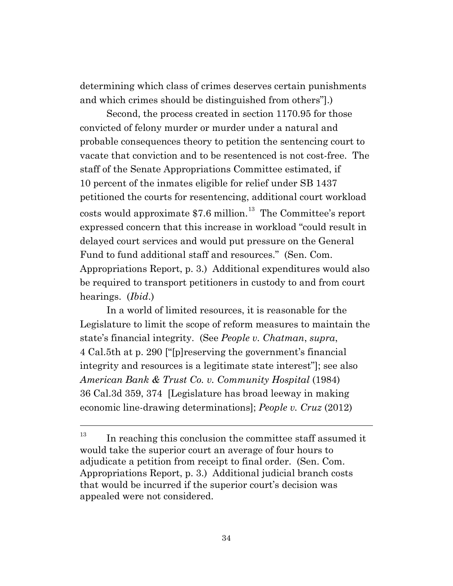determining which class of crimes deserves certain punishments and which crimes should be distinguished from others"].)

Second, the process created in section 1170.95 for those convicted of felony murder or murder under a natural and probable consequences theory to petition the sentencing court to vacate that conviction and to be resentenced is not cost-free. The staff of the Senate Appropriations Committee estimated, if 10 percent of the inmates eligible for relief under SB 1437 petitioned the courts for resentencing, additional court workload costs would approximate  $$7.6$  million.<sup>[13](#page-33-0)</sup> The Committee's report expressed concern that this increase in workload "could result in delayed court services and would put pressure on the General Fund to fund additional staff and resources." (Sen. Com. Appropriations Report, p. 3.) Additional expenditures would also be required to transport petitioners in custody to and from court hearings. (*Ibid*.)

In a world of limited resources, it is reasonable for the Legislature to limit the scope of reform measures to maintain the state's financial integrity. (See *People v. Chatman*, *supra*, 4 Cal.5th at p. 290 ["[p]reserving the government's financial integrity and resources is a legitimate state interest"]; see also *American Bank & Trust Co. v. Community Hospital* (1984) 36 Cal.3d 359, 374 [Legislature has broad leeway in making economic line-drawing determinations]; *People v. Cruz* (2012)

<span id="page-33-0"></span> $13$  In reaching this conclusion the committee staff assumed it would take the superior court an average of four hours to adjudicate a petition from receipt to final order. (Sen. Com. Appropriations Report, p. 3.) Additional judicial branch costs that would be incurred if the superior court's decision was appealed were not considered.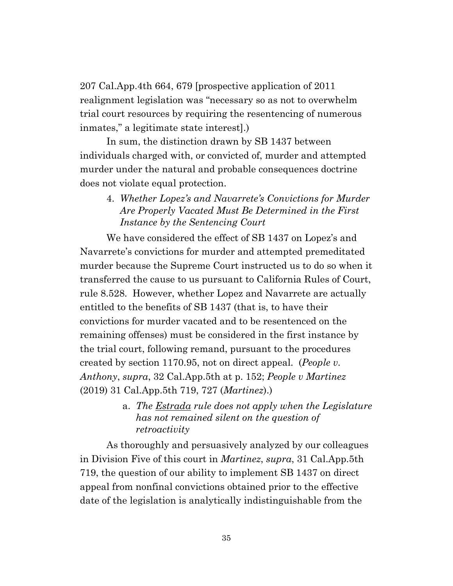207 Cal.App.4th 664, 679 [prospective application of 2011 realignment legislation was "necessary so as not to overwhelm trial court resources by requiring the resentencing of numerous inmates," a legitimate state interest].)

In sum, the distinction drawn by SB 1437 between individuals charged with, or convicted of, murder and attempted murder under the natural and probable consequences doctrine does not violate equal protection.

4. *Whether Lopez's and Navarrete's Convictions for Murder Are Properly Vacated Must Be Determined in the First Instance by the Sentencing Court*

We have considered the effect of SB 1437 on Lopez's and Navarrete's convictions for murder and attempted premeditated murder because the Supreme Court instructed us to do so when it transferred the cause to us pursuant to California Rules of Court, rule 8.528. However, whether Lopez and Navarrete are actually entitled to the benefits of SB 1437 (that is, to have their convictions for murder vacated and to be resentenced on the remaining offenses) must be considered in the first instance by the trial court, following remand, pursuant to the procedures created by section 1170.95, not on direct appeal. (*People v. Anthony*, *supra*, 32 Cal.App.5th at p. 152; *People v Martinez* (2019) 31 Cal.App.5th 719, 727 (*Martinez*).)

> a. *The Estrada rule does not apply when the Legislature has not remained silent on the question of retroactivity*

As thoroughly and persuasively analyzed by our colleagues in Division Five of this court in *Martinez*, *supra*, 31 Cal.App.5th 719, the question of our ability to implement SB 1437 on direct appeal from nonfinal convictions obtained prior to the effective date of the legislation is analytically indistinguishable from the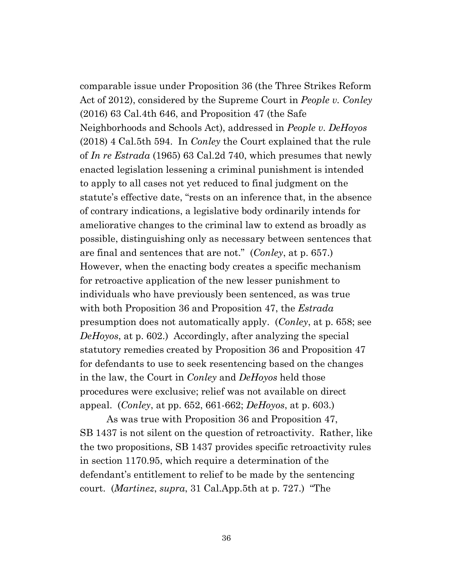comparable issue under Proposition 36 (the Three Strikes Reform Act of 2012), considered by the Supreme Court in *People v. Conley* (2016) 63 Cal.4th 646, and Proposition 47 (the Safe Neighborhoods and Schools Act), addressed in *People v. DeHoyos* (2018) 4 Cal.5th 594. In *Conley* the Court explained that the rule of *In re Estrada* (1965) 63 Cal.2d 740, which presumes that newly enacted legislation lessening a criminal punishment is intended to apply to all cases not yet reduced to final judgment on the statute's effective date, "rests on an inference that, in the absence of contrary indications, a legislative body ordinarily intends for ameliorative changes to the criminal law to extend as broadly as possible, distinguishing only as necessary between sentences that are final and sentences that are not." (*Conley*, at p. 657.) However, when the enacting body creates a specific mechanism for retroactive application of the new lesser punishment to individuals who have previously been sentenced, as was true with both Proposition 36 and Proposition 47, the *Estrada* presumption does not automatically apply. (*Conley*, at p. 658; see *DeHoyos*, at p. 602.) Accordingly, after analyzing the special statutory remedies created by Proposition 36 and Proposition 47 for defendants to use to seek resentencing based on the changes in the law, the Court in *Conley* and *DeHoyos* held those procedures were exclusive; relief was not available on direct appeal. (*Conley*, at pp. 652, 661-662; *DeHoyos*, at p. 603.)

As was true with Proposition 36 and Proposition 47, SB 1437 is not silent on the question of retroactivity. Rather, like the two propositions, SB 1437 provides specific retroactivity rules in section 1170.95, which require a determination of the defendant's entitlement to relief to be made by the sentencing court. (*Martinez*, *supra*, 31 Cal.App.5th at p. 727.) "The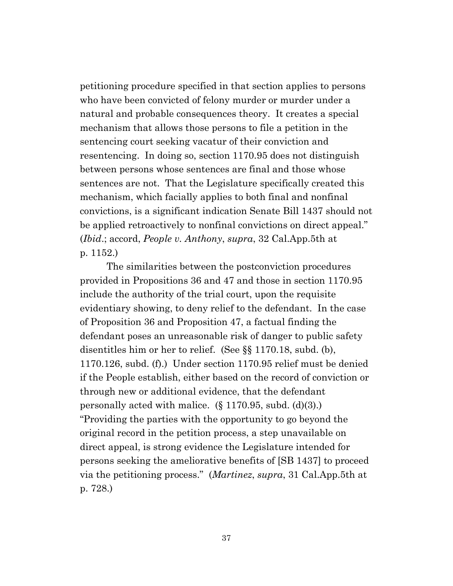petitioning procedure specified in that section applies to persons who have been convicted of felony murder or murder under a natural and probable consequences theory. It creates a special mechanism that allows those persons to file a petition in the sentencing court seeking vacatur of their conviction and resentencing. In doing so, section 1170.95 does not distinguish between persons whose sentences are final and those whose sentences are not. That the Legislature specifically created this mechanism, which facially applies to both final and nonfinal convictions, is a significant indication Senate Bill 1437 should not be applied retroactively to nonfinal convictions on direct appeal." (*Ibid*.; accord, *People v. Anthony*, *supra*, 32 Cal.App.5th at p. 1152.)

The similarities between the postconviction procedures provided in Propositions 36 and 47 and those in section 1170.95 include the authority of the trial court, upon the requisite evidentiary showing, to deny relief to the defendant. In the case of Proposition 36 and Proposition 47, a factual finding the defendant poses an unreasonable risk of danger to public safety disentitles him or her to relief. (See §§ 1170.18, subd. (b), 1170.126, subd. (f).) Under section 1170.95 relief must be denied if the People establish, either based on the record of conviction or through new or additional evidence, that the defendant personally acted with malice.  $(\S 1170.95, \text{subd.} (d)(3))$ . "Providing the parties with the opportunity to go beyond the original record in the petition process, a step unavailable on direct appeal, is strong evidence the Legislature intended for persons seeking the ameliorative benefits of [SB 1437] to proceed via the petitioning process." (*Martinez*, *supra*, 31 Cal.App.5th at p. 728.)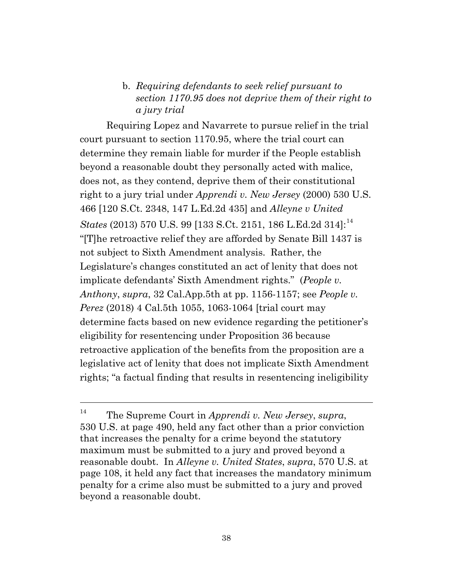# b. *Requiring defendants to seek relief pursuant to section 1170.95 does not deprive them of their right to a jury trial*

Requiring Lopez and Navarrete to pursue relief in the trial court pursuant to section 1170.95, where the trial court can determine they remain liable for murder if the People establish beyond a reasonable doubt they personally acted with malice, does not, as they contend, deprive them of their constitutional right to a jury trial under *Apprendi v. New Jersey* (2000) 530 U.S. 466 [120 S.Ct. 2348, 147 L.Ed.2d 435] and *Alleyne v United States* (2013) 570 U.S. 99 [133 S.Ct. 2151, 186 L.Ed.2d 3[14](#page-37-0)]:<sup>14</sup> "[T]he retroactive relief they are afforded by Senate Bill 1437 is not subject to Sixth Amendment analysis. Rather, the Legislature's changes constituted an act of lenity that does not implicate defendants' Sixth Amendment rights." (*People v. Anthony*, *supra*, 32 Cal.App.5th at pp. 1156-1157; see *People v. Perez* (2018) 4 Cal.5th 1055, 1063-1064 [trial court may determine facts based on new evidence regarding the petitioner's eligibility for resentencing under Proposition 36 because retroactive application of the benefits from the proposition are a legislative act of lenity that does not implicate Sixth Amendment rights; "a factual finding that results in resentencing ineligibility

<span id="page-37-0"></span><sup>14</sup> The Supreme Court in *Apprendi v. New Jersey*, *supra*, 530 U.S. at page 490, held any fact other than a prior conviction that increases the penalty for a crime beyond the statutory maximum must be submitted to a jury and proved beyond a reasonable doubt. In *Alleyne v. United States*, *supra*, 570 U.S. at page 108, it held any fact that increases the mandatory minimum penalty for a crime also must be submitted to a jury and proved beyond a reasonable doubt.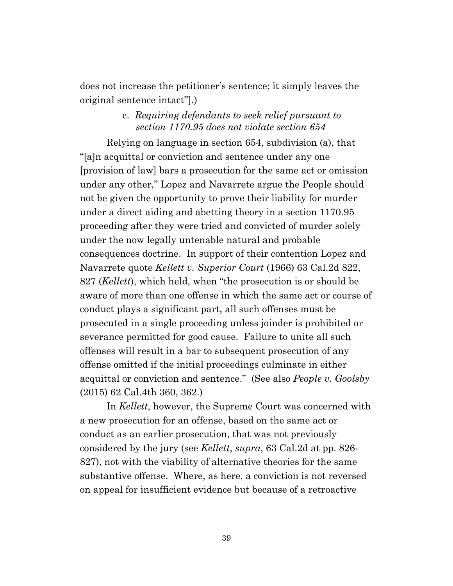does not increase the petitioner's sentence; it simply leaves the original sentence intact"].)

# c. *Requiring defendants to seek relief pursuant to section 1170.95 does not violate section 654*

Relying on language in section 654, subdivision (a), that "[a]n acquittal or conviction and sentence under any one [provision of law] bars a prosecution for the same act or omission under any other," Lopez and Navarrete argue the People should not be given the opportunity to prove their liability for murder under a direct aiding and abetting theory in a section 1170.95 proceeding after they were tried and convicted of murder solely under the now legally untenable natural and probable consequences doctrine. In support of their contention Lopez and Navarrete quote *Kellett v. Superior Court* (1966) 63 Cal.2d 822, 827 (*Kellett*), which held, when "the prosecution is or should be aware of more than one offense in which the same act or course of conduct plays a significant part, all such offenses must be prosecuted in a single proceeding unless joinder is prohibited or severance permitted for good cause. Failure to unite all such offenses will result in a bar to subsequent prosecution of any offense omitted if the initial proceedings culminate in either acquittal or conviction and sentence." (See also *People v. Goolsby* (2015) 62 Cal.4th 360, 362.)

In *Kellett*, however, the Supreme Court was concerned with a new prosecution for an offense, based on the same act or conduct as an earlier prosecution, that was not previously considered by the jury (see *Kellett*, *supra*, 63 Cal.2d at pp. 826- 827), not with the viability of alternative theories for the same substantive offense. Where, as here, a conviction is not reversed on appeal for insufficient evidence but because of a retroactive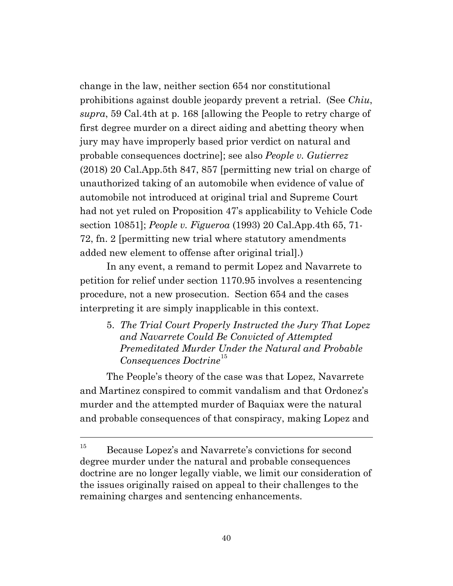change in the law, neither section 654 nor constitutional prohibitions against double jeopardy prevent a retrial. (See *Chiu*, *supra*, 59 Cal.4th at p. 168 [allowing the People to retry charge of first degree murder on a direct aiding and abetting theory when jury may have improperly based prior verdict on natural and probable consequences doctrine]; see also *People v. Gutierrez* (2018) 20 Cal.App.5th 847, 857 [permitting new trial on charge of unauthorized taking of an automobile when evidence of value of automobile not introduced at original trial and Supreme Court had not yet ruled on Proposition 47's applicability to Vehicle Code section 10851]; *People v. Figueroa* (1993) 20 Cal.App.4th 65, 71- 72, fn. 2 [permitting new trial where statutory amendments added new element to offense after original trial].)

In any event, a remand to permit Lopez and Navarrete to petition for relief under section 1170.95 involves a resentencing procedure, not a new prosecution. Section 654 and the cases interpreting it are simply inapplicable in this context.

5. *The Trial Court Properly Instructed the Jury That Lopez and Navarrete Could Be Convicted of Attempted Premeditated Murder Under the Natural and Probable Consequences Doctrine*[15](#page-39-0)

The People's theory of the case was that Lopez, Navarrete and Martinez conspired to commit vandalism and that Ordonez's murder and the attempted murder of Baquiax were the natural and probable consequences of that conspiracy, making Lopez and

<span id="page-39-0"></span><sup>&</sup>lt;sup>15</sup> Because Lopez's and Navarrete's convictions for second degree murder under the natural and probable consequences doctrine are no longer legally viable, we limit our consideration of the issues originally raised on appeal to their challenges to the remaining charges and sentencing enhancements.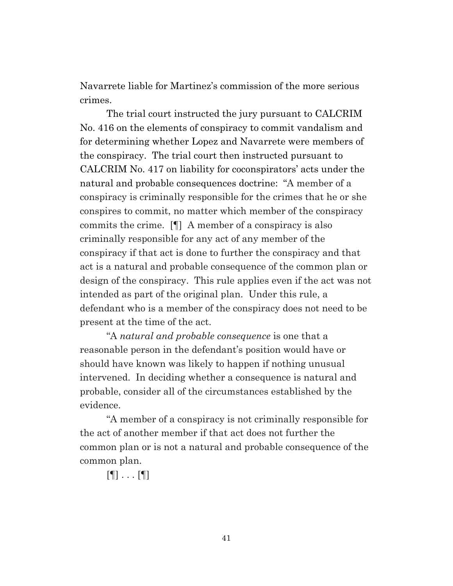Navarrete liable for Martinez's commission of the more serious crimes.

The trial court instructed the jury pursuant to CALCRIM No. 416 on the elements of conspiracy to commit vandalism and for determining whether Lopez and Navarrete were members of the conspiracy. The trial court then instructed pursuant to CALCRIM No. 417 on liability for coconspirators' acts under the natural and probable consequences doctrine: "A member of a conspiracy is criminally responsible for the crimes that he or she conspires to commit, no matter which member of the conspiracy commits the crime. [¶] A member of a conspiracy is also criminally responsible for any act of any member of the conspiracy if that act is done to further the conspiracy and that act is a natural and probable consequence of the common plan or design of the conspiracy. This rule applies even if the act was not intended as part of the original plan. Under this rule, a defendant who is a member of the conspiracy does not need to be present at the time of the act.

"A *natural and probable consequence* is one that a reasonable person in the defendant's position would have or should have known was likely to happen if nothing unusual intervened. In deciding whether a consequence is natural and probable, consider all of the circumstances established by the evidence.

"A member of a conspiracy is not criminally responsible for the act of another member if that act does not further the common plan or is not a natural and probable consequence of the common plan.

 $[$   $[$   $]$   $\ldots$   $[$   $]$   $]$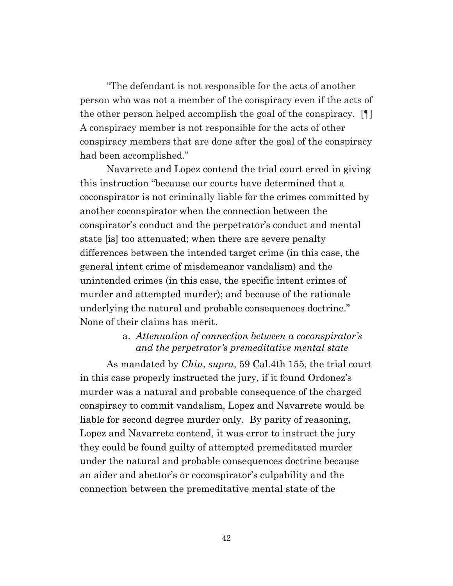"The defendant is not responsible for the acts of another person who was not a member of the conspiracy even if the acts of the other person helped accomplish the goal of the conspiracy. [¶] A conspiracy member is not responsible for the acts of other conspiracy members that are done after the goal of the conspiracy had been accomplished."

Navarrete and Lopez contend the trial court erred in giving this instruction "because our courts have determined that a coconspirator is not criminally liable for the crimes committed by another coconspirator when the connection between the conspirator's conduct and the perpetrator's conduct and mental state [is] too attenuated; when there are severe penalty differences between the intended target crime (in this case, the general intent crime of misdemeanor vandalism) and the unintended crimes (in this case, the specific intent crimes of murder and attempted murder); and because of the rationale underlying the natural and probable consequences doctrine." None of their claims has merit.

# a. *Attenuation of connection between a coconspirator's and the perpetrator's premeditative mental state*

As mandated by *Chiu*, *supra*, 59 Cal.4th 155, the trial court in this case properly instructed the jury, if it found Ordonez's murder was a natural and probable consequence of the charged conspiracy to commit vandalism, Lopez and Navarrete would be liable for second degree murder only. By parity of reasoning, Lopez and Navarrete contend, it was error to instruct the jury they could be found guilty of attempted premeditated murder under the natural and probable consequences doctrine because an aider and abettor's or coconspirator's culpability and the connection between the premeditative mental state of the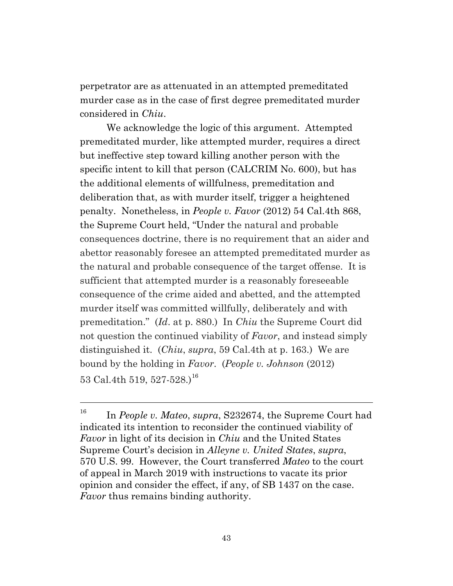perpetrator are as attenuated in an attempted premeditated murder case as in the case of first degree premeditated murder considered in *Chiu*.

We acknowledge the logic of this argument. Attempted premeditated murder, like attempted murder, requires a direct but ineffective step toward killing another person with the specific intent to kill that person (CALCRIM No. 600), but has the additional elements of willfulness, premeditation and deliberation that, as with murder itself, trigger a heightened penalty. Nonetheless, in *People v. Favor* (2012) 54 Cal.4th 868, the Supreme Court held, "Under the natural and probable consequences doctrine, there is no requirement that an aider and abettor reasonably foresee an attempted premeditated murder as the natural and probable consequence of the target offense. It is sufficient that attempted murder is a reasonably foreseeable consequence of the crime aided and abetted, and the attempted murder itself was committed willfully, deliberately and with premeditation." (*Id*. at p. 880.) In *Chiu* the Supreme Court did not question the continued viability of *Favor*, and instead simply distinguished it. (*Chiu*, *supra*, 59 Cal.4th at p. 163.) We are bound by the holding in *Favor*. (*People v. Johnson* (2012) 53 Cal.4th 519, 527-528. $1^{16}$  $1^{16}$  $1^{16}$ 

<span id="page-42-0"></span><sup>16</sup> In *People v. Mateo*, *supra*, S232674, the Supreme Court had indicated its intention to reconsider the continued viability of *Favor* in light of its decision in *Chiu* and the United States Supreme Court's decision in *Alleyne v. United States*, *supra*, 570 U.S. 99. However, the Court transferred *Mateo* to the court of appeal in March 2019 with instructions to vacate its prior opinion and consider the effect, if any, of SB 1437 on the case. *Favor* thus remains binding authority.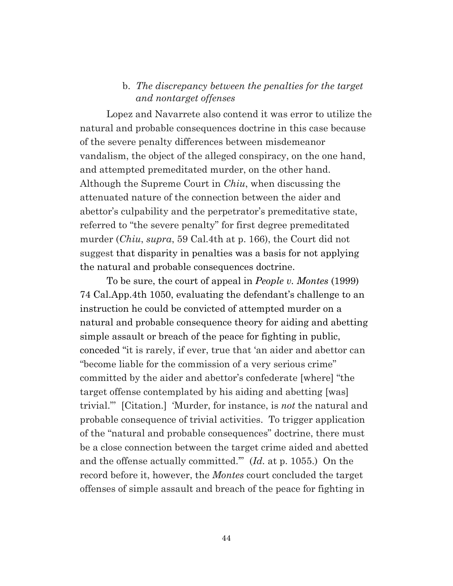### b. *The discrepancy between the penalties for the target and nontarget offenses*

Lopez and Navarrete also contend it was error to utilize the natural and probable consequences doctrine in this case because of the severe penalty differences between misdemeanor vandalism, the object of the alleged conspiracy, on the one hand, and attempted premeditated murder, on the other hand. Although the Supreme Court in *Chiu*, when discussing the attenuated nature of the connection between the aider and abettor's culpability and the perpetrator's premeditative state, referred to "the severe penalty" for first degree premeditated murder (*Chiu*, *supra*, 59 Cal.4th at p. 166), the Court did not suggest that disparity in penalties was a basis for not applying the natural and probable consequences doctrine.

To be sure, the court of appeal in *People v. Montes* (1999) 74 Cal.App.4th 1050, evaluating the defendant's challenge to an instruction he could be convicted of attempted murder on a natural and probable consequence theory for aiding and abetting simple assault or breach of the peace for fighting in public, conceded "it is rarely, if ever, true that 'an aider and abettor can "become liable for the commission of a very serious crime" committed by the aider and abettor's confederate [where] "the target offense contemplated by his aiding and abetting [was] trivial."' [Citation.] 'Murder, for instance, is *not* the natural and probable consequence of trivial activities. To trigger application of the "natural and probable consequences" doctrine, there must be a close connection between the target crime aided and abetted and the offense actually committed.'" (*Id.* at p. 1055.) On the record before it, however, the *Montes* court concluded the target offenses of simple assault and breach of the peace for fighting in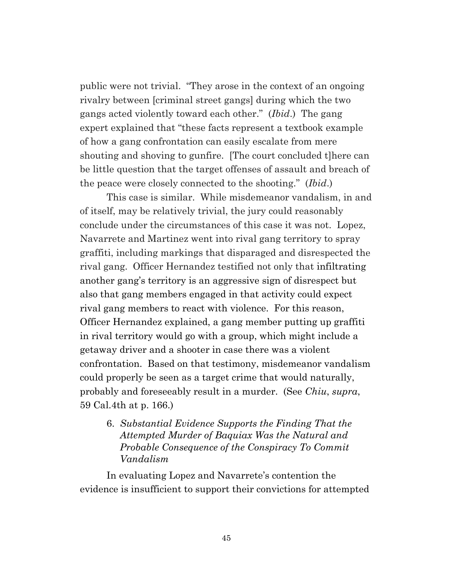public were not trivial. "They arose in the context of an ongoing rivalry between [criminal street gangs] during which the two gangs acted violently toward each other." (*Ibid*.) The gang expert explained that "these facts represent a textbook example of how a gang confrontation can easily escalate from mere shouting and shoving to gunfire. [The court concluded t]here can be little question that the target offenses of assault and breach of the peace were closely connected to the shooting." (*Ibid*.)

This case is similar. While misdemeanor vandalism, in and of itself, may be relatively trivial, the jury could reasonably conclude under the circumstances of this case it was not. Lopez, Navarrete and Martinez went into rival gang territory to spray graffiti, including markings that disparaged and disrespected the rival gang. Officer Hernandez testified not only that infiltrating another gang's territory is an aggressive sign of disrespect but also that gang members engaged in that activity could expect rival gang members to react with violence. For this reason, Officer Hernandez explained, a gang member putting up graffiti in rival territory would go with a group, which might include a getaway driver and a shooter in case there was a violent confrontation. Based on that testimony, misdemeanor vandalism could properly be seen as a target crime that would naturally, probably and foreseeably result in a murder. (See *Chiu*, *supra*, 59 Cal.4th at p. 166.)

6. *Substantial Evidence Supports the Finding That the Attempted Murder of Baquiax Was the Natural and Probable Consequence of the Conspiracy To Commit Vandalism*

In evaluating Lopez and Navarrete's contention the evidence is insufficient to support their convictions for attempted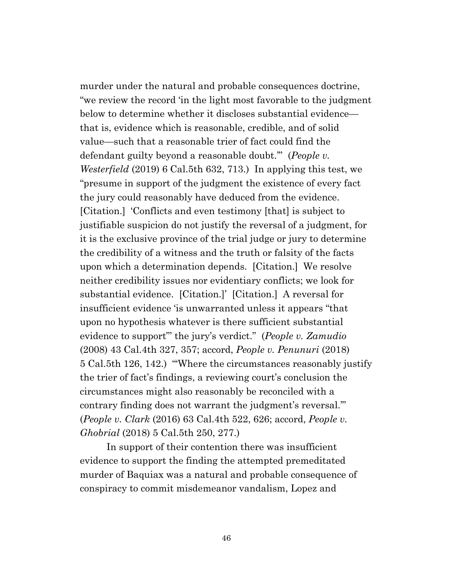murder under the natural and probable consequences doctrine, "we review the record 'in the light most favorable to the judgment below to determine whether it discloses substantial evidence that is, evidence which is reasonable, credible, and of solid value—such that a reasonable trier of fact could find the defendant guilty beyond a reasonable doubt.'" (*People v. Westerfield* (2019) 6 Cal.5th 632, 713.) In applying this test, we "presume in support of the judgment the existence of every fact the jury could reasonably have deduced from the evidence. [Citation.] 'Conflicts and even testimony [that] is subject to justifiable suspicion do not justify the reversal of a judgment, for it is the exclusive province of the trial judge or jury to determine the credibility of a witness and the truth or falsity of the facts upon which a determination depends. [Citation.] We resolve neither credibility issues nor evidentiary conflicts; we look for substantial evidence. [Citation.]' [Citation.] A reversal for insufficient evidence 'is unwarranted unless it appears "that upon no hypothesis whatever is there sufficient substantial evidence to support"' the jury's verdict." (*People v. Zamudio* (2008) 43 Cal.4th 327, 357; accord, *People v. Penunuri* (2018) 5 Cal.5th 126, 142.) "'Where the circumstances reasonably justify the trier of fact's findings, a reviewing court's conclusion the circumstances might also reasonably be reconciled with a contrary finding does not warrant the judgment's reversal.'" (*People v. Clark* (2016) 63 Cal.4th 522, 626; accord, *People v. Ghobrial* (2018) 5 Cal.5th 250, 277.)

In support of their contention there was insufficient evidence to support the finding the attempted premeditated murder of Baquiax was a natural and probable consequence of conspiracy to commit misdemeanor vandalism, Lopez and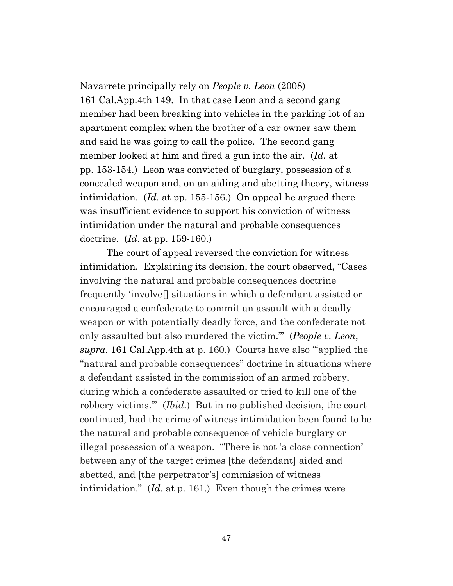Navarrete principally rely on *People v. Leon* (2008) 161 Cal.App.4th 149. In that case Leon and a second gang member had been breaking into vehicles in the parking lot of an apartment complex when the brother of a car owner saw them and said he was going to call the police. The second gang member looked at him and fired a gun into the air. (*Id.* at pp. 153-154.) Leon was convicted of burglary, possession of a concealed weapon and, on an aiding and abetting theory, witness intimidation. (*Id*. at pp. 155-156.) On appeal he argued there was insufficient evidence to support his conviction of witness intimidation under the natural and probable consequences doctrine. (*Id*. at pp. 159-160.)

The court of appeal reversed the conviction for witness intimidation. Explaining its decision, the court observed, "Cases involving the natural and probable consequences doctrine frequently 'involve[] situations in which a defendant assisted or encouraged a confederate to commit an assault with a deadly weapon or with potentially deadly force, and the confederate not only assaulted but also murdered the victim.'" (*People v. Leon*, *supra*, 161 Cal.App.4th at p. 160.) Courts have also "'applied the "natural and probable consequences" doctrine in situations where a defendant assisted in the commission of an armed robbery, during which a confederate assaulted or tried to kill one of the robbery victims.'" (*Ibid.*) But in no published decision, the court continued, had the crime of witness intimidation been found to be the natural and probable consequence of vehicle burglary or illegal possession of a weapon. "There is not 'a close connection' between any of the target crimes [the defendant] aided and abetted, and [the perpetrator's] commission of witness intimidation." (*Id.* at p. 161.) Even though the crimes were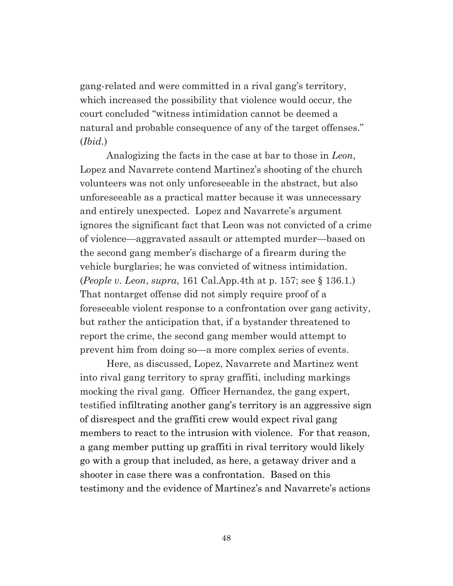gang-related and were committed in a rival gang's territory, which increased the possibility that violence would occur, the court concluded "witness intimidation cannot be deemed a natural and probable consequence of any of the target offenses." (*Ibid.*)

Analogizing the facts in the case at bar to those in *Leon*, Lopez and Navarrete contend Martinez's shooting of the church volunteers was not only unforeseeable in the abstract, but also unforeseeable as a practical matter because it was unnecessary and entirely unexpected. Lopez and Navarrete's argument ignores the significant fact that Leon was not convicted of a crime of violence—aggravated assault or attempted murder—based on the second gang member's discharge of a firearm during the vehicle burglaries; he was convicted of witness intimidation. (*People v. Leon*, *supra*, 161 Cal.App.4th at p. 157; see § 136.1.) That nontarget offense did not simply require proof of a foreseeable violent response to a confrontation over gang activity, but rather the anticipation that, if a bystander threatened to report the crime, the second gang member would attempt to prevent him from doing so—a more complex series of events.

Here, as discussed, Lopez, Navarrete and Martinez went into rival gang territory to spray graffiti, including markings mocking the rival gang. Officer Hernandez, the gang expert, testified infiltrating another gang's territory is an aggressive sign of disrespect and the graffiti crew would expect rival gang members to react to the intrusion with violence. For that reason, a gang member putting up graffiti in rival territory would likely go with a group that included, as here, a getaway driver and a shooter in case there was a confrontation. Based on this testimony and the evidence of Martinez's and Navarrete's actions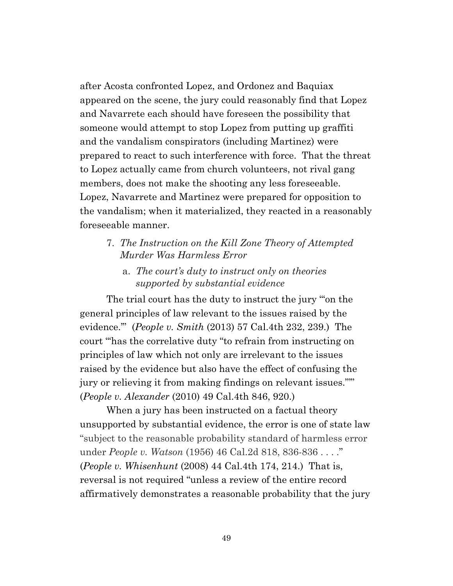after Acosta confronted Lopez, and Ordonez and Baquiax appeared on the scene, the jury could reasonably find that Lopez and Navarrete each should have foreseen the possibility that someone would attempt to stop Lopez from putting up graffiti and the vandalism conspirators (including Martinez) were prepared to react to such interference with force. That the threat to Lopez actually came from church volunteers, not rival gang members, does not make the shooting any less foreseeable. Lopez, Navarrete and Martinez were prepared for opposition to the vandalism; when it materialized, they reacted in a reasonably foreseeable manner.

- 7. *The Instruction on the Kill Zone Theory of Attempted Murder Was Harmless Error*
	- a. *The court's duty to instruct only on theories supported by substantial evidence*

The trial court has the duty to instruct the jury "'on the general principles of law relevant to the issues raised by the evidence.'" (*People v. Smith* (2013) 57 Cal.4th 232, 239.) The court "'has the correlative duty "to refrain from instructing on principles of law which not only are irrelevant to the issues raised by the evidence but also have the effect of confusing the jury or relieving it from making findings on relevant issues."'" (*People v. Alexander* (2010) 49 Cal.4th 846, 920.[\)](https://1.next.westlaw.com/Link/Document/FullText?findType=Y&serNum=2008250179&pubNum=0004040&originatingDoc=I649f90a0da2911e38530bc161e58ce0c&refType=RP&fi=co_pp_sp_4040_831&originationContext=document&transitionType=DocumentItem&contextData=(sc.Search)#co_pp_sp_4040_831)

When a jury has been instructed on a factual theory unsupported by substantial evidence, the error is one of state law "subject to the reasonable probability standard of harmless error under *People v. Watson* (1956) 46 Cal.2d 818, 836-836 . . . ." (*People v. Whisenhunt* (2008) 44 Cal.4th 174, 214.) That is, reversal is not required "unless a review of the entire record affirmatively demonstrates a reasonable probability that the jury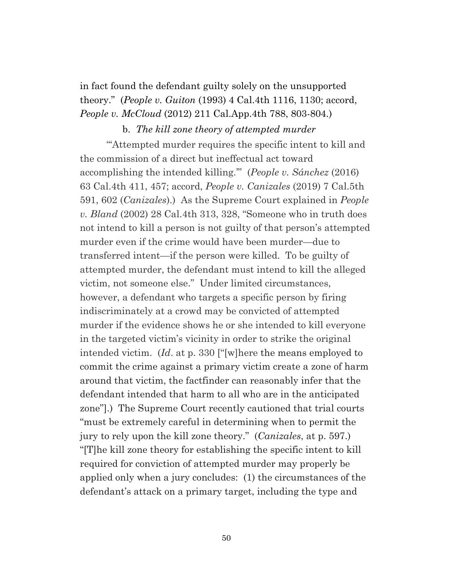in fact found the defendant guilty solely on the unsupported theory." (*People v. Guiton* (1993) 4 Cal.4th 1116, 1130; accord, *People v. McCloud* (2012) 211 Cal.App.4th 788, 803-804.)

### b. *The kill zone theory of attempted murder*

"'Attempted murder requires the specific intent to kill and the commission of a direct but ineffectual act toward accomplishing the intended killing.'" (*People v. Sánchez* (2016) 63 Cal.4th 411, 457; accord, *People v. Canizales* (2019) 7 Cal.5th 591, 602 (*Canizales*).) As the Supreme Court explained in *People v. Bland* (2002) 28 Cal.4th 313, 328, "Someone who in truth does not intend to kill a person is not guilty of that person's attempted murder even if the crime would have been murder—due to transferred intent—if the person were killed. To be guilty of attempted murder, the defendant must intend to kill the alleged victim, not someone else." Under limited circumstances, however, a defendant who targets a specific person by firing indiscriminately at a crowd may be convicted of attempted murder if the evidence shows he or she intended to kill everyone in the targeted victim's vicinity in order to strike the original intended victim. (*Id*. at p. 330 ["[w]here the means employed to commit the crime against a primary victim create a zone of harm around that victim, the factfinder can reasonably infer that the defendant intended that harm to all who are in the anticipated zone"].) The Supreme Court recently cautioned that trial courts "must be extremely careful in determining when to permit the jury to rely upon the kill zone theory." (*Canizales*, at p. 597.) "[T]he kill zone theory for establishing the specific intent to kill required for conviction of attempted murder may properly be applied only when a jury concludes: (1) the circumstances of the defendant's attack on a primary target, including the type and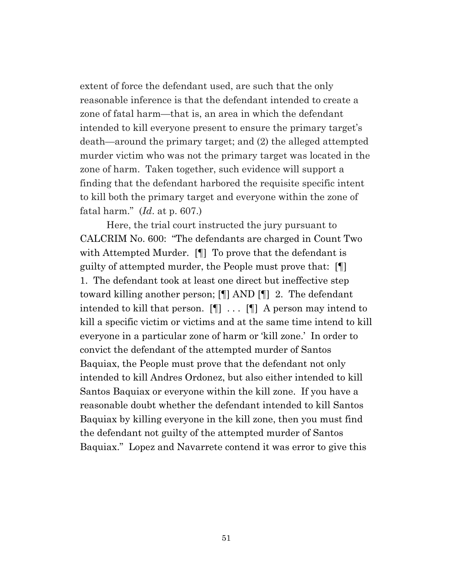extent of force the defendant used, are such that the only reasonable inference is that the defendant intended to create a zone of fatal harm—that is, an area in which the defendant intended to kill everyone present to ensure the primary target's death—around the primary target; and (2) the alleged attempted murder victim who was not the primary target was located in the zone of harm. Taken together, such evidence will support a finding that the defendant harbored the requisite specific intent to kill both the primary target and everyone within the zone of fatal harm." (*Id*. at p. 607.)

Here, the trial court instructed the jury pursuant to CALCRIM No. 600: "The defendants are charged in Count Two with Attempted Murder. **[**] To prove that the defendant is guilty of attempted murder, the People must prove that: [¶] 1. The defendant took at least one direct but ineffective step toward killing another person; [¶] AND [¶] 2. The defendant intended to kill that person. [¶] . . . [¶] A person may intend to kill a specific victim or victims and at the same time intend to kill everyone in a particular zone of harm or 'kill zone.' In order to convict the defendant of the attempted murder of Santos Baquiax, the People must prove that the defendant not only intended to kill Andres Ordonez, but also either intended to kill Santos Baquiax or everyone within the kill zone. If you have a reasonable doubt whether the defendant intended to kill Santos Baquiax by killing everyone in the kill zone, then you must find the defendant not guilty of the attempted murder of Santos Baquiax." Lopez and Navarrete contend it was error to give this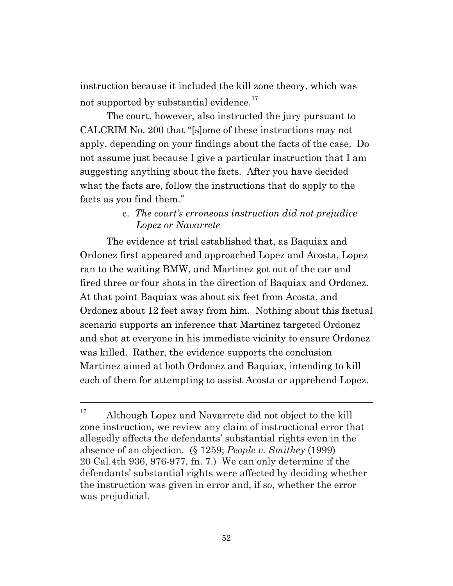instruction because it included the kill zone theory, which was not supported by substantial evidence.<sup>[17](#page-51-0)</sup>

The court, however, also instructed the jury pursuant to CALCRIM No. 200 that "[s]ome of these instructions may not apply, depending on your findings about the facts of the case. Do not assume just because I give a particular instruction that I am suggesting anything about the facts. After you have decided what the facts are, follow the instructions that do apply to the facts as you find them."

# c. *The court's erroneous instruction did not prejudice Lopez or Navarrete*

The evidence at trial established that, as Baquiax and Ordonez first appeared and approached Lopez and Acosta, Lopez ran to the waiting BMW, and Martinez got out of the car and fired three or four shots in the direction of Baquiax and Ordonez. At that point Baquiax was about six feet from Acosta, and Ordonez about 12 feet away from him. Nothing about this factual scenario supports an inference that Martinez targeted Ordonez and shot at everyone in his immediate vicinity to ensure Ordonez was killed. Rather, the evidence supports the conclusion Martinez aimed at both Ordonez and Baquiax, intending to kill each of them for attempting to assist Acosta or apprehend Lopez.

<span id="page-51-0"></span><sup>&</sup>lt;sup>17</sup> Although Lopez and Navarrete did not object to the kill zone instruction, we review any claim of instructional error that allegedly affects the defendants' substantial rights even in the absence of an objection. (§ 1259; *People v. Smithey* (1999) 20 Cal.4th 936, 976-977, fn. 7.) We can only determine if the defendants' substantial rights were affected by deciding whether the instruction was given in error and, if so, whether the error was prejudicial.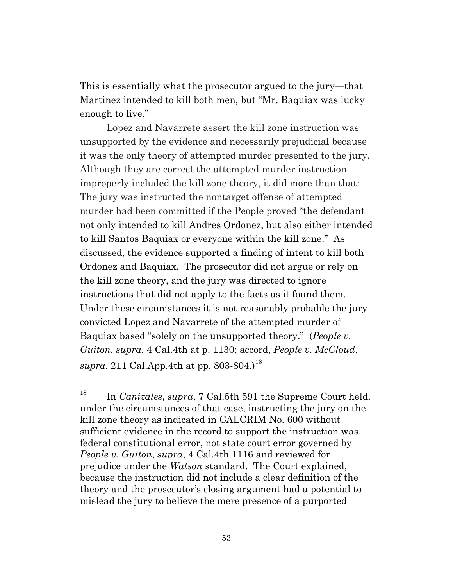This is essentially what the prosecutor argued to the jury—that Martinez intended to kill both men, but "Mr. Baquiax was lucky enough to live."

Lopez and Navarrete assert the kill zone instruction was unsupported by the evidence and necessarily prejudicial because it was the only theory of attempted murder presented to the jury. Although they are correct the attempted murder instruction improperly included the kill zone theory, it did more than that: The jury was instructed the nontarget offense of attempted murder had been committed if the People proved "the defendant not only intended to kill Andres Ordonez, but also either intended to kill Santos Baquiax or everyone within the kill zone." As discussed, the evidence supported a finding of intent to kill both Ordonez and Baquiax. The prosecutor did not argue or rely on the kill zone theory, and the jury was directed to ignore instructions that did not apply to the facts as it found them. Under these circumstances it is not reasonably probable the jury convicted Lopez and Navarrete of the attempted murder of Baquiax based "solely on the unsupported theory." (*People v. Guiton*, *supra*, 4 Cal.4th at p. 1130; accord, *People v. McCloud*, *supra*, 211 Cal.App.4th at pp. 803-804.)<sup>[18](#page-52-0)</sup>

<span id="page-52-0"></span><sup>18</sup> In *Canizales*, *supra*, 7 Cal.5th 591 the Supreme Court held, under the circumstances of that case, instructing the jury on the kill zone theory as indicated in CALCRIM No. 600 without sufficient evidence in the record to support the instruction was federal constitutional error, not state court error governed by *People v. Guiton*, *supra*, 4 Cal.4th 1116 and reviewed for prejudice under the *Watson* standard. The Court explained, because the instruction did not include a clear definition of the theory and the prosecutor's closing argument had a potential to mislead the jury to believe the mere presence of a purported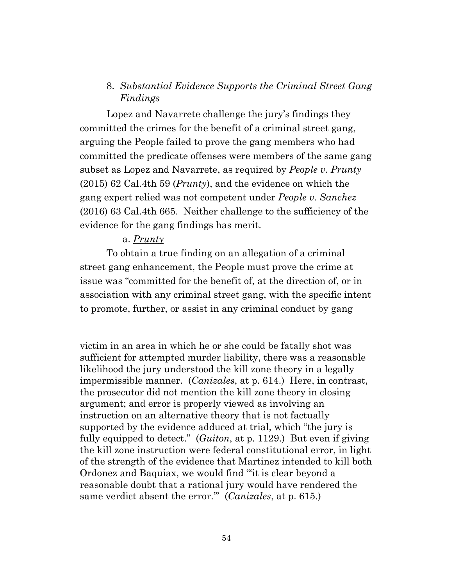# 8. *Substantial Evidence Supports the Criminal Street Gang Findings*

Lopez and Navarrete challenge the jury's findings they committed the crimes for the benefit of a criminal street gang, arguing the People failed to prove the gang members who had committed the predicate offenses were members of the same gang subset as Lopez and Navarrete, as required by *People v. Prunty* (2015) 62 Cal.4th 59 (*Prunty*), and the evidence on which the gang expert relied was not competent under *People v. Sanchez* (2016) 63 Cal.4th 665. Neither challenge to the sufficiency of the evidence for the gang findings has merit.

### a. *Prunty*

To obtain a true finding on an allegation of a criminal street gang enhancement, the People must prove the crime at issue was "committed for the benefit of, at the direction of, or in association with any criminal street gang, with the specific intent to promote, further, or assist in any criminal conduct by gang

victim in an area in which he or she could be fatally shot was sufficient for attempted murder liability, there was a reasonable likelihood the jury understood the kill zone theory in a legally impermissible manner. (*Canizales*, at p. 614.) Here, in contrast, the prosecutor did not mention the kill zone theory in closing argument; and error is properly viewed as involving an instruction on an alternative theory that is not factually supported by the evidence adduced at trial, which "the jury is fully equipped to detect." (*Guiton*, at p. 1129.) But even if giving the kill zone instruction were federal constitutional error, in light of the strength of the evidence that Martinez intended to kill both Ordonez and Baquiax, we would find "'it is clear beyond a reasonable doubt that a rational jury would have rendered the same verdict absent the error.'" (*Canizales*, at p. 615.)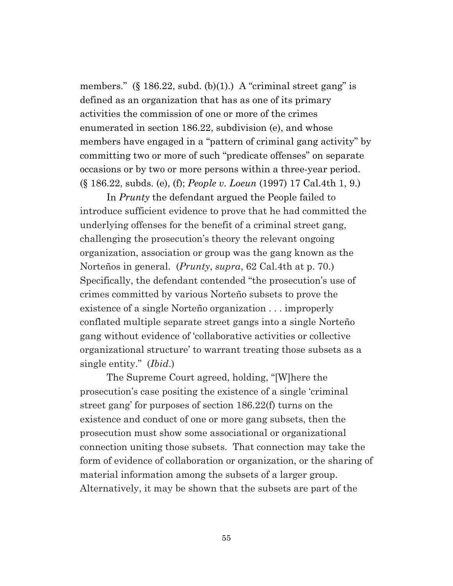members." (§ 186.22, subd. (b)(1).) A "criminal street gang" is defined as an organization that has as one of its primary activities the commission of one or more of the crimes enumerated in section 186.22, subdivision (e), and whose members have engaged in a "pattern of criminal gang activity" by committing two or more of such "predicate offenses" on separate occasions or by two or more persons within a three-year period. (§ 186.22, subds. (e), (f); *People v. Loeun* (1997) 17 Cal.4th 1, 9.)

In *Prunty* the defendant argued the People failed to introduce sufficient evidence to prove that he had committed the underlying offenses for the benefit of a criminal street gang, challenging the prosecution's theory the relevant ongoing organization, association or group was the gang known as the Norteños in general. (*Prunty*, *supra*, 62 Cal.4th at p. 70.) Specifically, the defendant contended "the prosecution's use of crimes committed by various Norteño subsets to prove the existence of a single Norteño organization . . . improperly conflated multiple separate street gangs into a single Norteño gang without evidence of 'collaborative activities or collective organizational structure' to warrant treating those subsets as a single entity." (*Ibid*.)

The Supreme Court agreed, holding, "[W]here the prosecution's case positing the existence of a single 'criminal street gang' for purposes of section 186.22(f) turns on the existence and conduct of one or more gang subsets, then the prosecution must show some associational or organizational connection uniting those subsets. That connection may take the form of evidence of collaboration or organization, or the sharing of material information among the subsets of a larger group. Alternatively, it may be shown that the subsets are part of the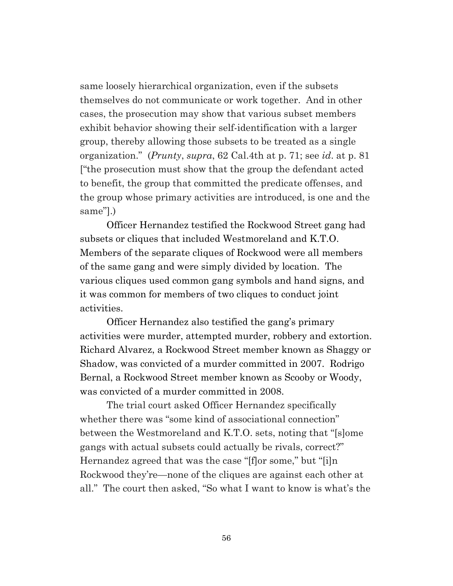same loosely hierarchical organization, even if the subsets themselves do not communicate or work together. And in other cases, the prosecution may show that various subset members exhibit behavior showing their self-identification with a larger group, thereby allowing those subsets to be treated as a single organization." (*Prunty*, *supra*, 62 Cal.4th at p. 71; see *id*. at p. 81 ["the prosecution must show that the group the defendant acted to benefit, the group that committed the predicate offenses, and the group whose primary activities are introduced, is one and the same"].)

Officer Hernandez testified the Rockwood Street gang had subsets or cliques that included Westmoreland and K.T.O. Members of the separate cliques of Rockwood were all members of the same gang and were simply divided by location. The various cliques used common gang symbols and hand signs, and it was common for members of two cliques to conduct joint activities.

Officer Hernandez also testified the gang's primary activities were murder, attempted murder, robbery and extortion. Richard Alvarez, a Rockwood Street member known as Shaggy or Shadow, was convicted of a murder committed in 2007. Rodrigo Bernal, a Rockwood Street member known as Scooby or Woody, was convicted of a murder committed in 2008.

The trial court asked Officer Hernandez specifically whether there was "some kind of associational connection" between the Westmoreland and K.T.O. sets, noting that "[s]ome gangs with actual subsets could actually be rivals, correct?" Hernandez agreed that was the case "[f]or some," but "[i]n Rockwood they're—none of the cliques are against each other at all." The court then asked, "So what I want to know is what's the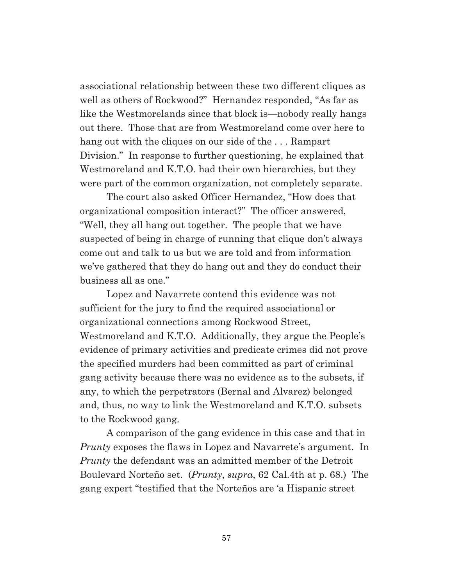associational relationship between these two different cliques as well as others of Rockwood?" Hernandez responded, "As far as like the Westmorelands since that block is—nobody really hangs out there. Those that are from Westmoreland come over here to hang out with the cliques on our side of the . . . Rampart Division." In response to further questioning, he explained that Westmoreland and K.T.O. had their own hierarchies, but they were part of the common organization, not completely separate.

The court also asked Officer Hernandez, "How does that organizational composition interact?" The officer answered, "Well, they all hang out together. The people that we have suspected of being in charge of running that clique don't always come out and talk to us but we are told and from information we've gathered that they do hang out and they do conduct their business all as one."

Lopez and Navarrete contend this evidence was not sufficient for the jury to find the required associational or organizational connections among Rockwood Street, Westmoreland and K.T.O. Additionally, they argue the People's evidence of primary activities and predicate crimes did not prove the specified murders had been committed as part of criminal gang activity because there was no evidence as to the subsets, if any, to which the perpetrators (Bernal and Alvarez) belonged and, thus, no way to link the Westmoreland and K.T.O. subsets to the Rockwood gang.

A comparison of the gang evidence in this case and that in *Prunty* exposes the flaws in Lopez and Navarrete's argument. In *Prunty* the defendant was an admitted member of the Detroit Boulevard Norteño set. (*Prunty*, *supra*, 62 Cal.4th at p. 68.) The gang expert "testified that the Norteños are 'a Hispanic street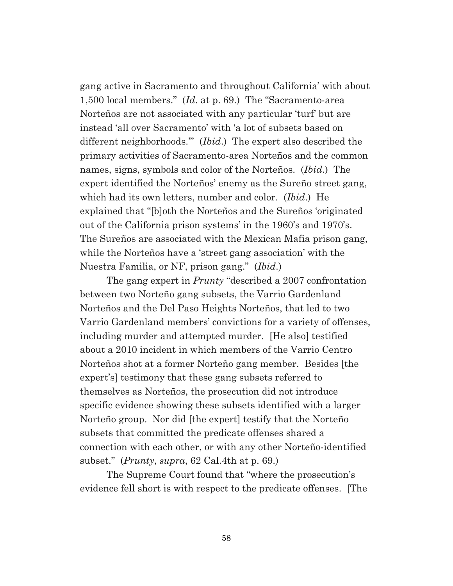gang active in Sacramento and throughout California' with about 1,500 local members." (*Id*. at p. 69.) The "Sacramento-area Norteños are not associated with any particular 'turf' but are instead 'all over Sacramento' with 'a lot of subsets based on different neighborhoods.'" (*Ibid*.) The expert also described the primary activities of Sacramento-area Norteños and the common names, signs, symbols and color of the Norteños. (*Ibid*.) The expert identified the Norteños' enemy as the Sureño street gang, which had its own letters, number and color. (*Ibid*.) He explained that "[b]oth the Norteños and the Sureños 'originated out of the California prison systems' in the 1960's and 1970's. The Sureños are associated with the Mexican Mafia prison gang, while the Norteños have a 'street gang association' with the Nuestra Familia, or NF, prison gang." (*Ibid*.)

The gang expert in *Prunty* "described a 2007 confrontation between two Norteño gang subsets, the Varrio Gardenland Norteños and the Del Paso Heights Norteños, that led to two Varrio Gardenland members' convictions for a variety of offenses, including murder and attempted murder. [He also] testified about a 2010 incident in which members of the Varrio Centro Norteños shot at a former Norteño gang member. Besides [the expert's] testimony that these gang subsets referred to themselves as Norteños, the prosecution did not introduce specific evidence showing these subsets identified with a larger Norteño group. Nor did [the expert] testify that the Norteño subsets that committed the predicate offenses shared a connection with each other, or with any other Norteño-identified subset." (*Prunty*, *supra*, 62 Cal.4th at p. 69.)

The Supreme Court found that "where the prosecution's evidence fell short is with respect to the predicate offenses. [The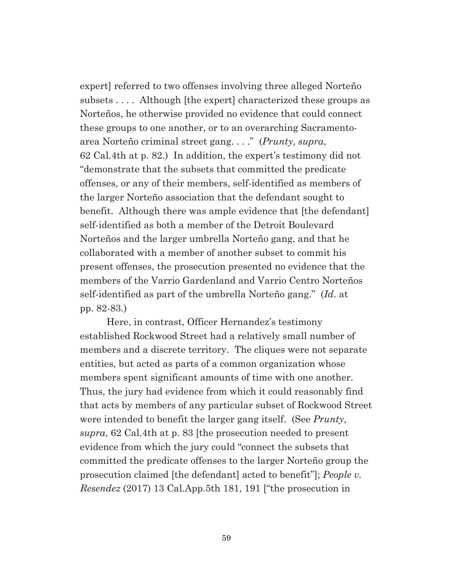expert] referred to two offenses involving three alleged Norteño subsets . . . . Although [the expert] characterized these groups as Norteños, he otherwise provided no evidence that could connect these groups to one another, or to an overarching Sacramentoarea Norteño criminal street gang. . . ." (*Prunty*, *supra*, 62 Cal.4th at p. 82.) In addition, the expert's testimony did not "demonstrate that the subsets that committed the predicate offenses, or any of their members, self-identified as members of the larger Norteño association that the defendant sought to benefit. Although there was ample evidence that [the defendant] self-identified as both a member of the Detroit Boulevard Norteños and the larger umbrella Norteño gang, and that he collaborated with a member of another subset to commit his present offenses, the prosecution presented no evidence that the members of the Varrio Gardenland and Varrio Centro Norteños self-identified as part of the umbrella Norteño gang." (*Id*. at pp. 82-83.)

Here, in contrast, Officer Hernandez's testimony established Rockwood Street had a relatively small number of members and a discrete territory. The cliques were not separate entities, but acted as parts of a common organization whose members spent significant amounts of time with one another. Thus, the jury had evidence from which it could reasonably find that acts by members of any particular subset of Rockwood Street were intended to benefit the larger gang itself. (See *Prunty*, *supra*, 62 Cal.4th at p. 83 [the prosecution needed to present evidence from which the jury could "connect the subsets that committed the predicate offenses to the larger Norteño group the prosecution claimed [the defendant] acted to benefit"]; *People v. Resendez* (2017) 13 Cal.App.5th 181, 191 ["the prosecution in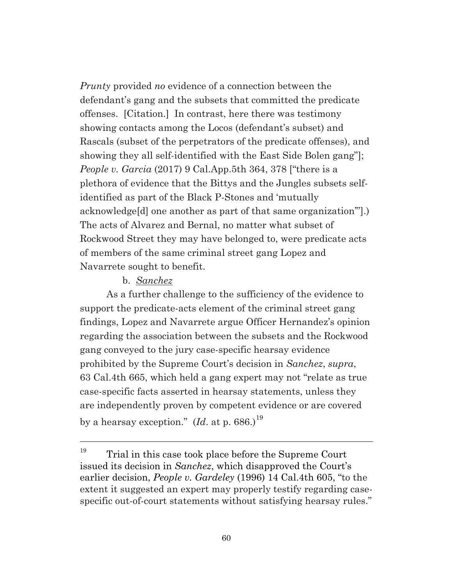*Prunty* provided *no* evidence of a connection between the defendant's gang and the subsets that committed the predicate offenses. [Citation.] In contrast, here there was testimony showing contacts among the Locos (defendant's subset) and Rascals (subset of the perpetrators of the predicate offenses), and showing they all self-identified with the East Side Bolen gang"]; *People v. Garcia* (2017) 9 Cal.App.5th 364, 378 ["there is a plethora of evidence that the Bittys and the Jungles subsets selfidentified as part of the Black P-Stones and 'mutually acknowledge[d] one another as part of that same organization'"].) The acts of Alvarez and Bernal, no matter what subset of Rockwood Street they may have belonged to, were predicate acts of members of the same criminal street gang Lopez and Navarrete sought to benefit.

### b. *Sanchez*

As a further challenge to the sufficiency of the evidence to support the predicate-acts element of the criminal street gang findings, Lopez and Navarrete argue Officer Hernandez's opinion regarding the association between the subsets and the Rockwood gang conveyed to the jury case-specific hearsay evidence prohibited by the Supreme Court's decision in *Sanchez*, *supra*, 63 Cal.4th 665, which held a gang expert may not "relate as true case-specific facts asserted in hearsay statements, unless they are independently proven by competent evidence or are covered by a hearsay exception." (*Id*. at p. 686.) [19](#page-59-0)

<span id="page-59-0"></span> $19$  Trial in this case took place before the Supreme Court issued its decision in *Sanchez*, which disapproved the Court's earlier decision, *People v. Gardeley* (1996) 14 Cal.4th 605, "to the extent it suggested an expert may properly testify regarding casespecific out-of-court statements without satisfying hearsay rules."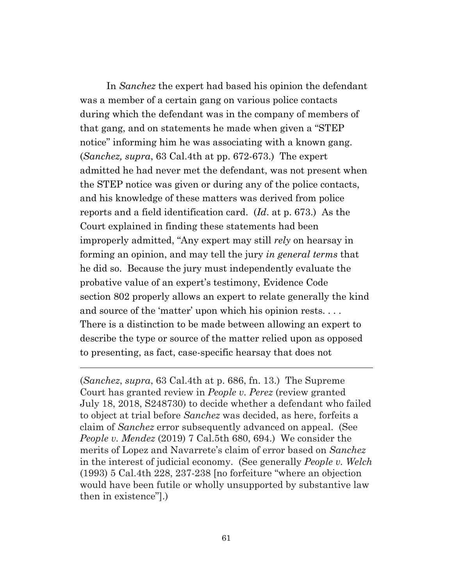In *Sanchez* the expert had based his opinion the defendant was a member of a certain gang on various police contacts during which the defendant was in the company of members of that gang, and on statements he made when given a "STEP notice" informing him he was associating with a known gang. (*Sanchez, supra*, 63 Cal.4th at pp. 672-673.) The expert admitted he had never met the defendant, was not present when the STEP notice was given or during any of the police contacts, and his knowledge of these matters was derived from police reports and a field identification card. (*Id*. at p. 673.) As the Court explained in finding these statements had been improperly admitted, "Any expert may still *rely* on hearsay in forming an opinion, and may tell the jury *in general terms* that he did so. Because the jury must independently evaluate the probative value of an expert's testimony, Evidence Code section 802 properly allows an expert to relate generally the kind and source of the 'matter' upon which his opinion rests.... There is a distinction to be made between allowing an expert to describe the type or source of the matter relied upon as opposed to presenting, as fact, case-specific hearsay that does not

(*Sanchez*, *supra*, 63 Cal.4th at p. 686, fn. 13.) The Supreme Court has granted review in *People v. Perez* (review granted July 18, 2018, S248730) to decide whether a defendant who failed to object at trial before *Sanchez* was decided, as here, forfeits a claim of *Sanchez* error subsequently advanced on appeal. (See *People v. Mendez* (2019) 7 Cal.5th 680, 694.) We consider the merits of Lopez and Navarrete's claim of error based on *Sanchez* in the interest of judicial economy. (See generally *People v. Welch* (1993) 5 Cal.4th 228, 237-238 [no forfeiture "where an objection would have been futile or wholly unsupported by substantive law then in existence"].)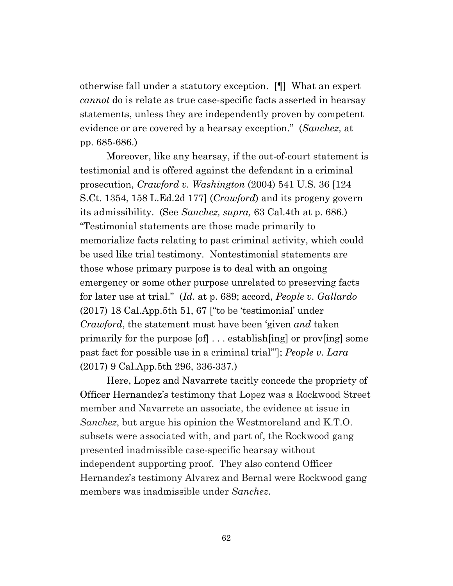otherwise fall under a statutory exception. [¶] What an expert *cannot* do is relate as true case-specific facts asserted in hearsay statements, unless they are independently proven by competent evidence or are covered by a hearsay exception." (*Sanchez,* at pp. 685-686.)

Moreover, like any hearsay, if the out-of-court statement is testimonial and is offered against the defendant in a criminal prosecution, *Crawford v. Washington* (2004) 541 U.S. 36 [124 S.Ct. 1354, 158 L.Ed.2d 177] (*Crawford*) and its progeny govern its admissibility. (See *Sanchez, supra,* 63 Cal.4th at p. 686.) "Testimonial statements are those made primarily to memorialize facts relating to past criminal activity, which could be used like trial testimony. Nontestimonial statements are those whose primary purpose is to deal with an ongoing emergency or some other purpose unrelated to preserving facts for later use at trial." (*Id*. at p. 689; accord, *People v. Gallardo* (2017) 18 Cal.App.5th 51, 67 ["to be 'testimonial' under *Crawford*, the statement must have been 'given *and* taken primarily for the purpose [of] . . . establish[ing] or prov[ing] some past fact for possible use in a criminal trial'"]; *People v. Lara*  (2017) 9 Cal.App.5th 296, 336-337.)

Here, Lopez and Navarrete tacitly concede the propriety of Officer Hernandez's testimony that Lopez was a Rockwood Street member and Navarrete an associate, the evidence at issue in *Sanchez*, but argue his opinion the Westmoreland and K.T.O. subsets were associated with, and part of, the Rockwood gang presented inadmissible case-specific hearsay without independent supporting proof. They also contend Officer Hernandez's testimony Alvarez and Bernal were Rockwood gang members was inadmissible under *Sanchez*.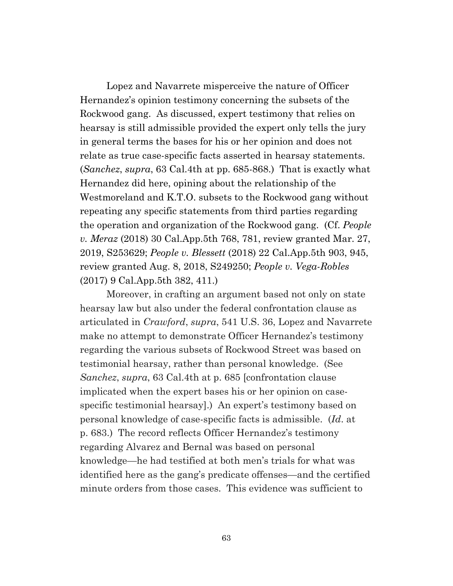Lopez and Navarrete misperceive the nature of Officer Hernandez's opinion testimony concerning the subsets of the Rockwood gang. As discussed, expert testimony that relies on hearsay is still admissible provided the expert only tells the jury in general terms the bases for his or her opinion and does not relate as true case-specific facts asserted in hearsay statements. (*Sanchez*, *supra*, 63 Cal.4th at pp. 685-868.) That is exactly what Hernandez did here, opining about the relationship of the Westmoreland and K.T.O. subsets to the Rockwood gang without repeating any specific statements from third parties regarding the operation and organization of the Rockwood gang. (Cf. *People v. Meraz* (2018) 30 Cal.App.5th 768, 781, review granted Mar. 27, 2019, S253629; *People v. Blessett* (2018) 22 Cal.App.5th 903, 945, review granted Aug. 8, 2018, S249250; *People v. Vega-Robles*  (2017) 9 Cal.App.5th 382, 411.)

Moreover, in crafting an argument based not only on state hearsay law but also under the federal confrontation clause as articulated in *Crawford*, *supra*, 541 U.S. 36, Lopez and Navarrete make no attempt to demonstrate Officer Hernandez's testimony regarding the various subsets of Rockwood Street was based on testimonial hearsay, rather than personal knowledge. (See *Sanchez*, *supra*, 63 Cal.4th at p. 685 [confrontation clause implicated when the expert bases his or her opinion on casespecific testimonial hearsay].) An expert's testimony based on personal knowledge of case-specific facts is admissible. (*Id*. at p. 683.) The record reflects Officer Hernandez's testimony regarding Alvarez and Bernal was based on personal knowledge—he had testified at both men's trials for what was identified here as the gang's predicate offenses—and the certified minute orders from those cases. This evidence was sufficient to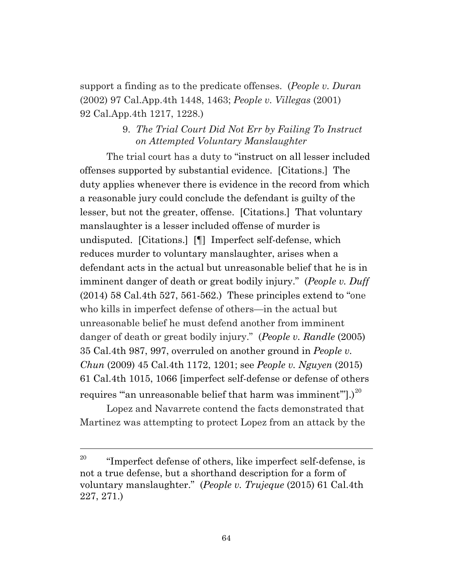support a finding as to the predicate offenses. (*People v. Duran* (2002) 97 Cal.App.4th 1448, 1463; *People v. Villegas* (2001) 92 Cal.App.4th 1217, 1228.)

# 9. *The Trial Court Did Not Err by Failing To Instruct on Attempted Voluntary Manslaughter*

The trial court has a duty to "instruct on all lesser included offenses supported by substantial evidence. [Citations.] The duty applies whenever there is evidence in the record from which a reasonable jury could conclude the defendant is guilty of the lesser, but not the greater, offense. [Citations.] That voluntary manslaughter is a lesser included offense of murder is undisputed. [Citations.] [¶] Imperfect self-defense, which reduces murder to voluntary manslaughter, arises when a defendant acts in the actual but unreasonable belief that he is in imminent danger of death or great bodily injury." (*People v. Duff* (2014) 58 Cal.4th 527, 561-562.) These principles extend to "one who kills in imperfect defense of others—in the actual but unreasonable belief he must defend another from imminent danger of death or great bodily injury." (*People v. Randle* (2005) 35 Cal.4th 987, 997, overruled on another ground in *People v. Chun* (2009) 45 Cal.4th 1172, 1201; see *People v. Nguyen* (2015) 61 Cal.4th 1015, 1066 [imperfect self-defense or defense of others requires ""an unreasonable belief that harm was imminent".) $^{20}$  $^{20}$  $^{20}$ 

Lopez and Navarrete contend the facts demonstrated that Martinez was attempting to protect Lopez from an attack by the

<span id="page-63-0"></span><sup>&</sup>lt;sup>20</sup> "Imperfect defense of others, like imperfect self-defense, is not a true defense, but a shorthand description for a form of voluntary manslaughter." (*People v. Trujeque* (2015) 61 Cal.4th 227, 271.)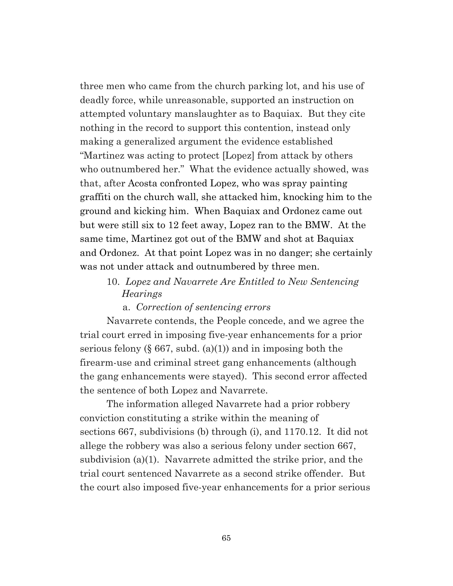three men who came from the church parking lot, and his use of deadly force, while unreasonable, supported an instruction on attempted voluntary manslaughter as to Baquiax. But they cite nothing in the record to support this contention, instead only making a generalized argument the evidence established "Martinez was acting to protect [Lopez] from attack by others who outnumbered her." What the evidence actually showed, was that, after Acosta confronted Lopez, who was spray painting graffiti on the church wall, she attacked him, knocking him to the ground and kicking him. When Baquiax and Ordonez came out but were still six to 12 feet away, Lopez ran to the BMW. At the same time, Martinez got out of the BMW and shot at Baquiax and Ordonez. At that point Lopez was in no danger; she certainly was not under attack and outnumbered by three men.

# 10. *Lopez and Navarrete Are Entitled to New Sentencing Hearings*

### a. *Correction of sentencing errors*

Navarrete contends, the People concede, and we agree the trial court erred in imposing five-year enhancements for a prior serious felony  $(\S 667, \text{subd.} (a)(1))$  and in imposing both the firearm-use and criminal street gang enhancements (although the gang enhancements were stayed). This second error affected the sentence of both Lopez and Navarrete.

The information alleged Navarrete had a prior robbery conviction constituting a strike within the meaning of sections 667, subdivisions (b) through (i), and 1170.12. It did not allege the robbery was also a serious felony under section 667, subdivision (a)(1). Navarrete admitted the strike prior, and the trial court sentenced Navarrete as a second strike offender. But the court also imposed five-year enhancements for a prior serious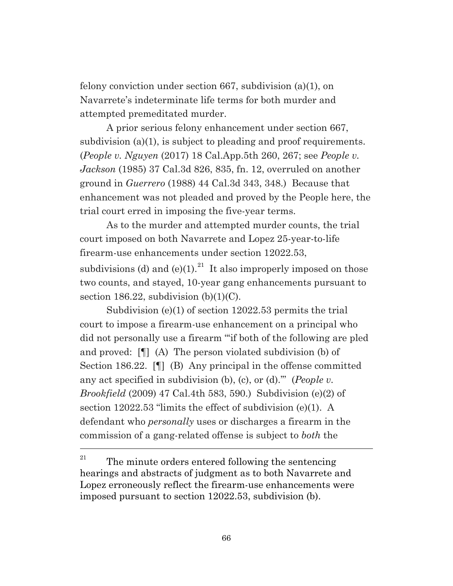felony conviction under section 667, subdivision (a)(1), on Navarrete's indeterminate life terms for both murder and attempted premeditated murder.

A prior serious felony enhancement under section 667, subdivision (a)(1), is subject to pleading and proof requirements. (*People v. Nguyen* (2017) 18 Cal.App.5th 260, 267; see *People v. Jackson* (1985) 37 Cal.3d 826, 835, fn. 12, overruled on another ground in *Guerrero* (1988) 44 Cal.3d 343, 348.) Because that enhancement was not pleaded and proved by the People here, the trial court erred in imposing the five-year terms.

As to the murder and attempted murder counts, the trial court imposed on both Navarrete and Lopez 25-year-to-life firearm-use enhancements under section 12022.53,

subdivisions (d) and (e)(1).<sup>[21](#page-65-0)</sup> It also improperly imposed on those two counts, and stayed, 10-year gang enhancements pursuant to section 186.22, subdivision  $(b)(1)(C)$ .

Subdivision (e)(1) of section 12022.53 permits the trial court to impose a firearm-use enhancement on a principal who did not personally use a firearm "'if both of the following are pled and proved: [¶] (A) The person violated subdivision (b) of Section 186.22. [¶] (B) Any principal in the offense committed any act specified in subdivision (b), (c), or (d).'" (*People v. Brookfield* (2009) 47 Cal.4th 583, 590.) Subdivision (e)(2) of section 12022.53 "limits the effect of subdivision (e)(1). A defendant who *personally* uses or discharges a firearm in the commission of a gang-related offense is subject to *both* the

<span id="page-65-0"></span><sup>&</sup>lt;sup>21</sup> The minute orders entered following the sentencing hearings and abstracts of judgment as to both Navarrete and Lopez erroneously reflect the firearm-use enhancements were imposed pursuant to section 12022.53, subdivision (b).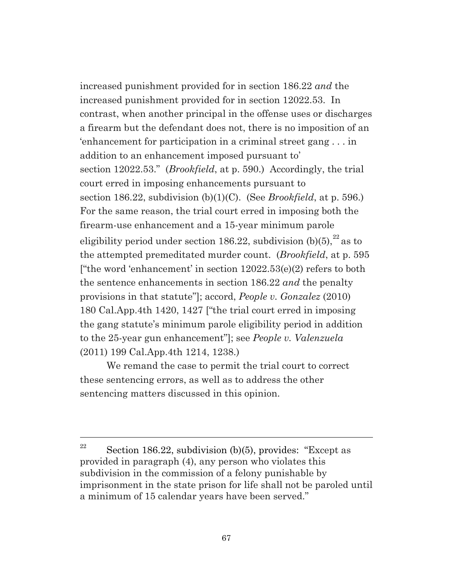increased punishment provided for in section 186.22 *and* the increased punishment provided for in section 12022.53. In contrast, when another principal in the offense uses or discharges a firearm but the defendant does not, there is no imposition of an 'enhancement for participation in a criminal street gang . . . in addition to an enhancement imposed pursuant to' section 12022.53." (*Brookfield*, at p. 590.) Accordingly, the trial court erred in imposing enhancements pursuant to section 186.22, subdivision (b)(1)(C). (See *Brookfield*, at p. 596.) For the same reason, the trial court erred in imposing both the firearm-use enhancement and a 15-year minimum parole eligibility period under section 186.[22](#page-66-0), subdivision  $(b)(5)$ ,  $22$  as to the attempted premeditated murder count. (*Brookfield*, at p. 595 ["the word 'enhancement' in section  $12022.53(e)(2)$  refers to both the sentence enhancements in section 186.22 *and* the penalty provisions in that statute"]; accord, *People v. Gonzalez* (2010) 180 Cal.App.4th 1420, 1427 ["the trial court erred in imposing the gang statute's minimum parole eligibility period in addition to the 25-year gun enhancement"]; see *People v. Valenzuela* (2011) 199 Cal.App.4th 1214, 1238.)

We remand the case to permit the trial court to correct these sentencing errors, as well as to address the other sentencing matters discussed in this opinion.

<span id="page-66-0"></span><sup>&</sup>lt;sup>22</sup> Section 186.22, subdivision (b)(5), provides: "Except as provided in paragraph (4), any person who violates this subdivision in the commission of a felony punishable by imprisonment in the state prison for life shall not be paroled until a minimum of 15 calendar years have been served."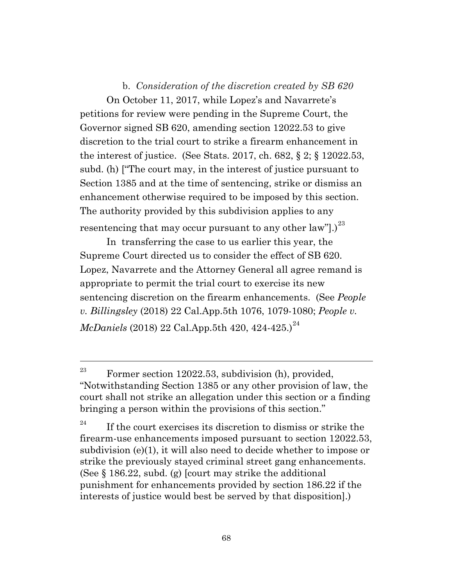b. *Consideration of the discretion created by SB 620* On October 11, 2017, while Lopez's and Navarrete's petitions for review were pending in the Supreme Court, the Governor signed SB 620, amending section 12022.53 to give discretion to the trial court to strike a firearm enhancement in the interest of justice. (See Stats. 2017, ch. 682, § 2; § 12022.53, subd. (h) ["The court may, in the interest of justice pursuant to Section 1385 and at the time of sentencing, strike or dismiss an enhancement otherwise required to be imposed by this section. The authority provided by this subdivision applies to any resentencing that may occur pursuant to any other law"l.)<sup>[23](#page-67-0)</sup>

In transferring the case to us earlier this year, the Supreme Court directed us to consider the effect of SB 620. Lopez, Navarrete and the Attorney General all agree remand is appropriate to permit the trial court to exercise its new sentencing discretion on the firearm enhancements. (See *People v. Billingsley* (2018) 22 Cal.App.5th 1076, 1079-1080; *People v. McDaniels* (2018) 22 Cal.App.5th 420, 4[24](#page-67-1)-425.)<sup>24</sup>

<span id="page-67-0"></span><sup>&</sup>lt;sup>23</sup> Former section 12022.53, subdivision (h), provided, "Notwithstanding Section 1385 or any other provision of law, the court shall not strike an allegation under this section or a finding bringing a person within the provisions of this section."

<span id="page-67-1"></span><sup>&</sup>lt;sup>24</sup> If the court exercises its discretion to dismiss or strike the firearm-use enhancements imposed pursuant to section 12022.53, subdivision (e)(1), it will also need to decide whether to impose or strike the previously stayed criminal street gang enhancements. (See § 186.22, subd. (g) [court may strike the additional punishment for enhancements provided by section 186.22 if the interests of justice would best be served by that disposition].)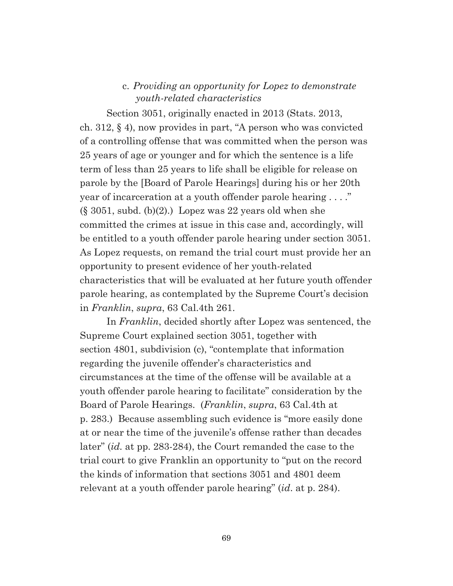### c. *Providing an opportunity for Lopez to demonstrate youth-related characteristics*

Section 3051, originally enacted in 2013 (Stats. 2013, ch. 312, § 4), now provides in part, "A person who was convicted of a controlling offense that was committed when the person was 25 years of age or younger and for which the sentence is a life term of less than 25 years to life shall be eligible for release on parole by the [Board of Parole Hearings] during his or her 20th year of incarceration at a youth offender parole hearing . . . ."  $(\S 3051, \text{subd. (b)}(2))$  Lopez was 22 years old when she committed the crimes at issue in this case and, accordingly, will be entitled to a youth offender parole hearing under section 3051. As Lopez requests, on remand the trial court must provide her an opportunity to present evidence of her youth-related characteristics that will be evaluated at her future youth offender parole hearing, as contemplated by the Supreme Court's decision in *Franklin*, *supra*, 63 Cal.4th 261.

In *Franklin*, decided shortly after Lopez was sentenced, the Supreme Court explained section 3051, together with section 4801, subdivision (c), "contemplate that information regarding the juvenile offender's characteristics and circumstances at the time of the offense will be available at a youth offender parole hearing to facilitate" consideration by the Board of Parole Hearings. (*Franklin*, *supra*, 63 Cal.4th at p. 283.) Because assembling such evidence is "more easily done at or near the time of the juvenile's offense rather than decades later" (*id.* at pp. 283-284), the Court remanded the case to the trial court to give Franklin an opportunity to "put on the record the kinds of information that sections 3051 and 4801 deem relevant at a youth offender parole hearing" (*id*. at p. 284).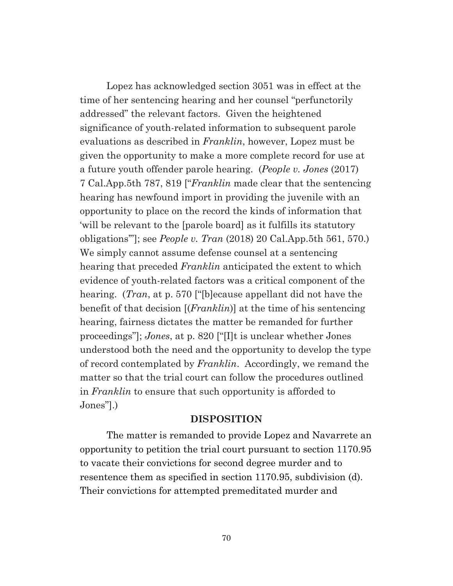Lopez has acknowledged section 3051 was in effect at the time of her sentencing hearing and her counsel "perfunctorily addressed" the relevant factors. Given the heightened significance of youth-related information to subsequent parole evaluations as described in *Franklin*, however, Lopez must be given the opportunity to make a more complete record for use at a future youth offender parole hearing. (*People v. Jones* (2017) 7 Cal.App.5th 787, 819 ["*Franklin* made clear that the sentencing hearing has newfound import in providing the juvenile with an opportunity to place on the record the kinds of information that 'will be relevant to the [parole board] as it fulfills its statutory obligations'"]; see *People v. Tran* (2018) 20 Cal.App.5th 561, 570.) We simply cannot assume defense counsel at a sentencing hearing that preceded *Franklin* anticipated the extent to which evidence of youth-related factors was a critical component of the hearing. (*Tran*, at p. 570 ["[b]ecause appellant did not have the benefit of that decision [(*Franklin*)] at the time of his sentencing hearing, fairness dictates the matter be remanded for further proceedings"]; *Jones*, at p. 820 ["[I]t is unclear whether Jones understood both the need and the opportunity to develop the type of record contemplated by *Franklin*. Accordingly, we remand the matter so that the trial court can follow the procedures outlined in *Franklin* to ensure that such opportunity is afforded to Jones"].)

#### **DISPOSITION**

The matter is remanded to provide Lopez and Navarrete an opportunity to petition the trial court pursuant to section 1170.95 to vacate their convictions for second degree murder and to resentence them as specified in section 1170.95, subdivision (d). Their convictions for attempted premeditated murder and